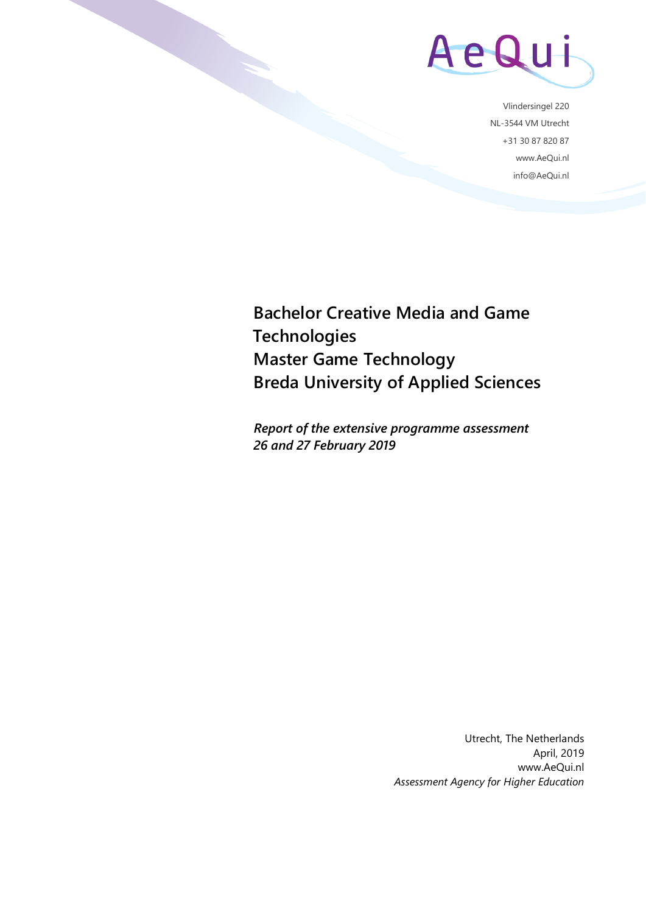

Vlindersingel 220 NL-3544 VM Utrecht +31 30 87 820 87 www.AeQui.nl info@AeQui.nl

**Bachelor Creative Media and Game Technologies Master Game Technology Breda University of Applied Sciences**

*Report of the extensive programme assessment 26 and 27 February 2019*

> Utrecht, The Netherlands April, 2019 www.AeQui.nl *Assessment Agency for Higher Education*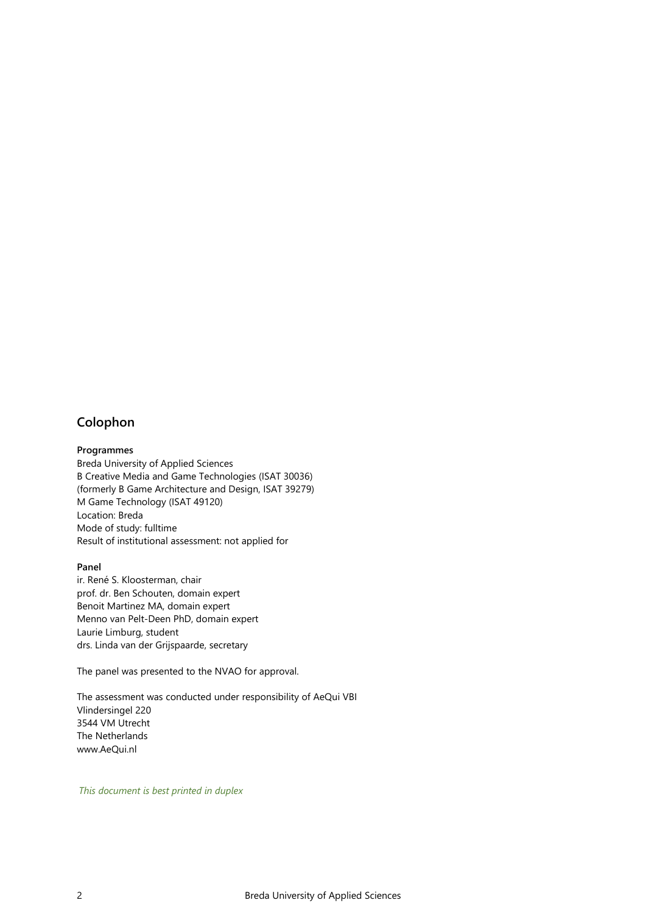### <span id="page-1-0"></span>**Colophon**

#### **Programmes**

Breda University of Applied Sciences B Creative Media and Game Technologies (ISAT 30036) (formerly B Game Architecture and Design, ISAT 39279) M Game Technology (ISAT 49120) Location: Breda Mode of study: fulltime Result of institutional assessment: not applied for

#### **Panel**

ir. René S. Kloosterman, chair prof. dr. Ben Schouten, domain expert Benoit Martinez MA, domain expert Menno van Pelt-Deen PhD, domain expert Laurie Limburg, student drs. Linda van der Grijspaarde, secretary

The panel was presented to the NVAO for approval.

The assessment was conducted under responsibility of AeQui VBI Vlindersingel 220 3544 VM Utrecht The Netherlands www.AeQui.nl

*This document is best printed in duplex*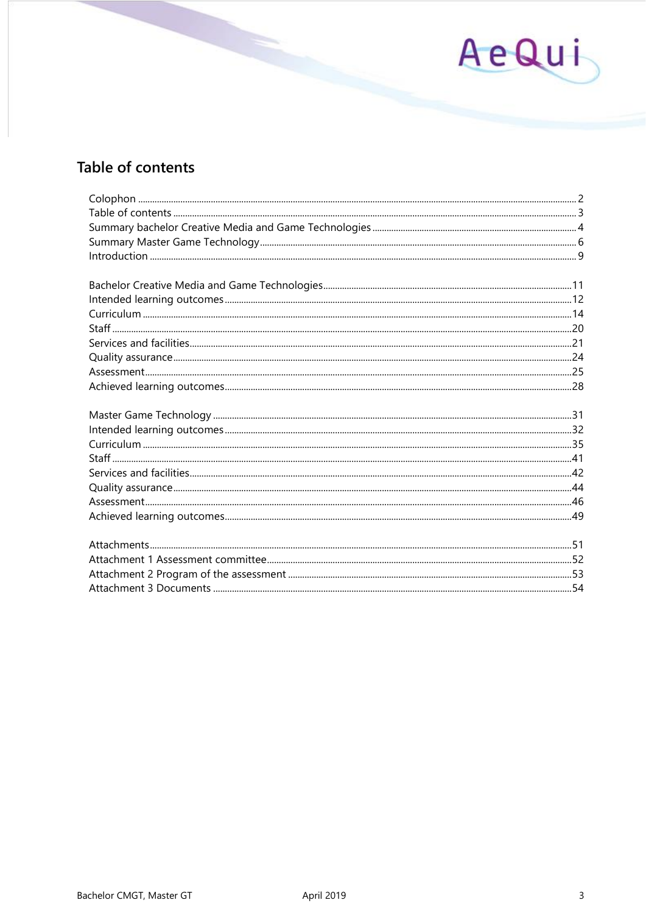# AeQui

# <span id="page-2-0"></span>Table of contents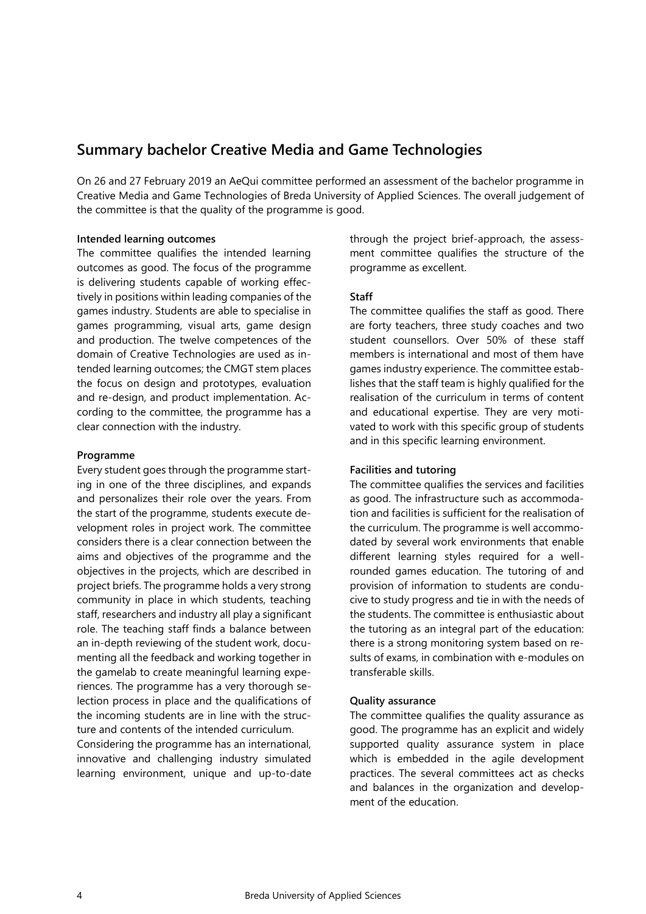# <span id="page-3-0"></span>**Summary bachelor Creative Media and Game Technologies**

On 26 and 27 February 2019 an AeQui committee performed an assessment of the bachelor programme in Creative Media and Game Technologies of Breda University of Applied Sciences. The overall judgement of the committee is that the quality of the programme is good.

#### **Intended learning outcomes**

The committee qualifies the intended learning outcomes as good. The focus of the programme is delivering students capable of working effectively in positions within leading companies of the games industry. Students are able to specialise in games programming, visual arts, game design and production. The twelve competences of the domain of Creative Technologies are used as intended learning outcomes; the CMGT stem places the focus on design and prototypes, evaluation and re-design, and product implementation. According to the committee, the programme has a clear connection with the industry.

#### **Programme**

Every student goes through the programme starting in one of the three disciplines, and expands and personalizes their role over the years. From the start of the programme, students execute development roles in project work. The committee considers there is a clear connection between the aims and objectives of the programme and the objectives in the projects, which are described in project briefs. The programme holds a very strong community in place in which students, teaching staff, researchers and industry all play a significant role. The teaching staff finds a balance between an in-depth reviewing of the student work, documenting all the feedback and working together in the gamelab to create meaningful learning experiences. The programme has a very thorough selection process in place and the qualifications of the incoming students are in line with the structure and contents of the intended curriculum.

Considering the programme has an international, innovative and challenging industry simulated learning environment, unique and up-to-date

through the project brief-approach, the assessment committee qualifies the structure of the programme as excellent.

### **Staff**

The committee qualifies the staff as good. There are forty teachers, three study coaches and two student counsellors. Over 50% of these staff members is international and most of them have games industry experience. The committee establishes that the staff team is highly qualified for the realisation of the curriculum in terms of content and educational expertise. They are very motivated to work with this specific group of students and in this specific learning environment.

### **Facilities and tutoring**

The committee qualifies the services and facilities as good. The infrastructure such as accommodation and facilities is sufficient for the realisation of the curriculum. The programme is well accommodated by several work environments that enable different learning styles required for a wellrounded games education. The tutoring of and provision of information to students are conducive to study progress and tie in with the needs of the students. The committee is enthusiastic about the tutoring as an integral part of the education: there is a strong monitoring system based on results of exams, in combination with e-modules on transferable skills.

### **Quality assurance**

The committee qualifies the quality assurance as good. The programme has an explicit and widely supported quality assurance system in place which is embedded in the agile development practices. The several committees act as checks and balances in the organization and development of the education.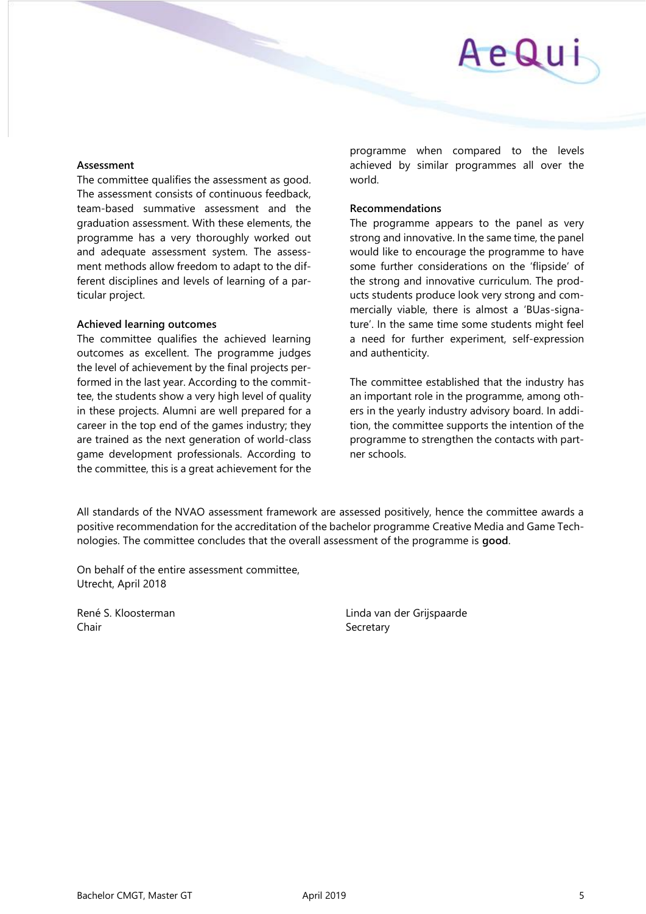#### **Assessment**

The committee qualifies the assessment as good. The assessment consists of continuous feedback, team-based summative assessment and the graduation assessment. With these elements, the programme has a very thoroughly worked out and adequate assessment system. The assessment methods allow freedom to adapt to the different disciplines and levels of learning of a particular project.

### **Achieved learning outcomes**

The committee qualifies the achieved learning outcomes as excellent. The programme judges the level of achievement by the final projects performed in the last year. According to the committee, the students show a very high level of quality in these projects. Alumni are well prepared for a career in the top end of the games industry; they are trained as the next generation of world-class game development professionals. According to the committee, this is a great achievement for the

programme when compared to the levels achieved by similar programmes all over the world.

### **Recommendations**

The programme appears to the panel as very strong and innovative. In the same time, the panel would like to encourage the programme to have some further considerations on the 'flipside' of the strong and innovative curriculum. The products students produce look very strong and commercially viable, there is almost a 'BUas-signature'. In the same time some students might feel a need for further experiment, self-expression and authenticity.

The committee established that the industry has an important role in the programme, among others in the yearly industry advisory board. In addition, the committee supports the intention of the programme to strengthen the contacts with partner schools.

All standards of the NVAO assessment framework are assessed positively, hence the committee awards a positive recommendation for the accreditation of the bachelor programme Creative Media and Game Technologies. The committee concludes that the overall assessment of the programme is **good**.

On behalf of the entire assessment committee, Utrecht, April 2018

Chair Secretary Secretary

René S. Kloosterman Linda van der Grijspaarde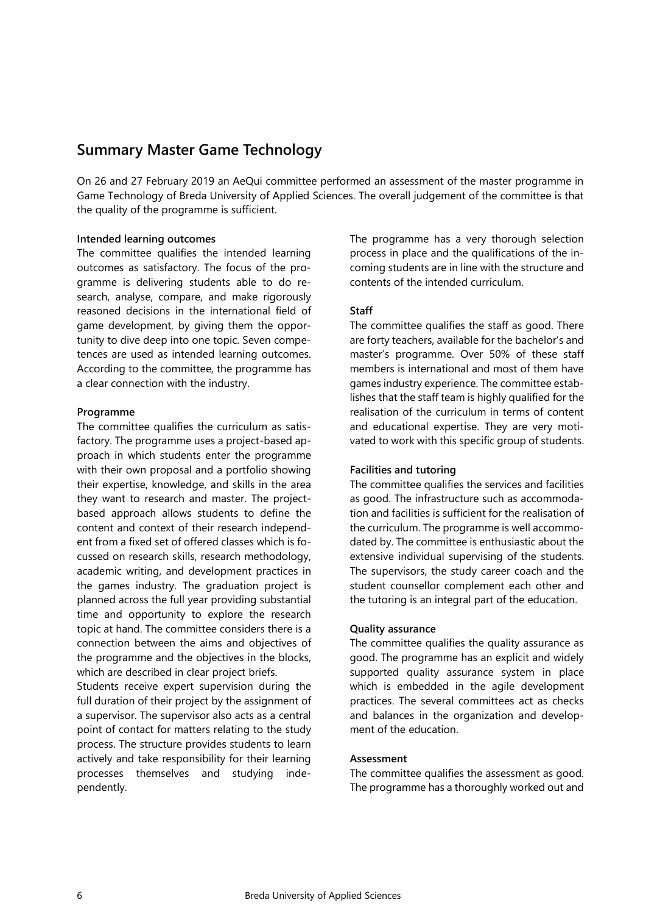## <span id="page-5-0"></span>**Summary Master Game Technology**

On 26 and 27 February 2019 an AeQui committee performed an assessment of the master programme in Game Technology of Breda University of Applied Sciences. The overall judgement of the committee is that the quality of the programme is sufficient.

#### **Intended learning outcomes**

The committee qualifies the intended learning outcomes as satisfactory. The focus of the programme is delivering students able to do research, analyse, compare, and make rigorously reasoned decisions in the international field of game development, by giving them the opportunity to dive deep into one topic. Seven competences are used as intended learning outcomes. According to the committee, the programme has a clear connection with the industry.

#### **Programme**

The committee qualifies the curriculum as satisfactory. The programme uses a project-based approach in which students enter the programme with their own proposal and a portfolio showing their expertise, knowledge, and skills in the area they want to research and master. The projectbased approach allows students to define the content and context of their research independent from a fixed set of offered classes which is focussed on research skills, research methodology, academic writing, and development practices in the games industry. The graduation project is planned across the full year providing substantial time and opportunity to explore the research topic at hand. The committee considers there is a connection between the aims and objectives of the programme and the objectives in the blocks, which are described in clear project briefs.

Students receive expert supervision during the full duration of their project by the assignment of a supervisor. The supervisor also acts as a central point of contact for matters relating to the study process. The structure provides students to learn actively and take responsibility for their learning processes themselves and studying independently.

The programme has a very thorough selection process in place and the qualifications of the incoming students are in line with the structure and contents of the intended curriculum.

#### **Staff**

The committee qualifies the staff as good. There are forty teachers, available for the bachelor's and master's programme. Over 50% of these staff members is international and most of them have games industry experience. The committee establishes that the staff team is highly qualified for the realisation of the curriculum in terms of content and educational expertise. They are very motivated to work with this specific group of students.

#### **Facilities and tutoring**

The committee qualifies the services and facilities as good. The infrastructure such as accommodation and facilities is sufficient for the realisation of the curriculum. The programme is well accommodated by. The committee is enthusiastic about the extensive individual supervising of the students. The supervisors, the study career coach and the student counsellor complement each other and the tutoring is an integral part of the education.

#### **Quality assurance**

The committee qualifies the quality assurance as good. The programme has an explicit and widely supported quality assurance system in place which is embedded in the agile development practices. The several committees act as checks and balances in the organization and development of the education.

#### **Assessment**

The committee qualifies the assessment as good. The programme has a thoroughly worked out and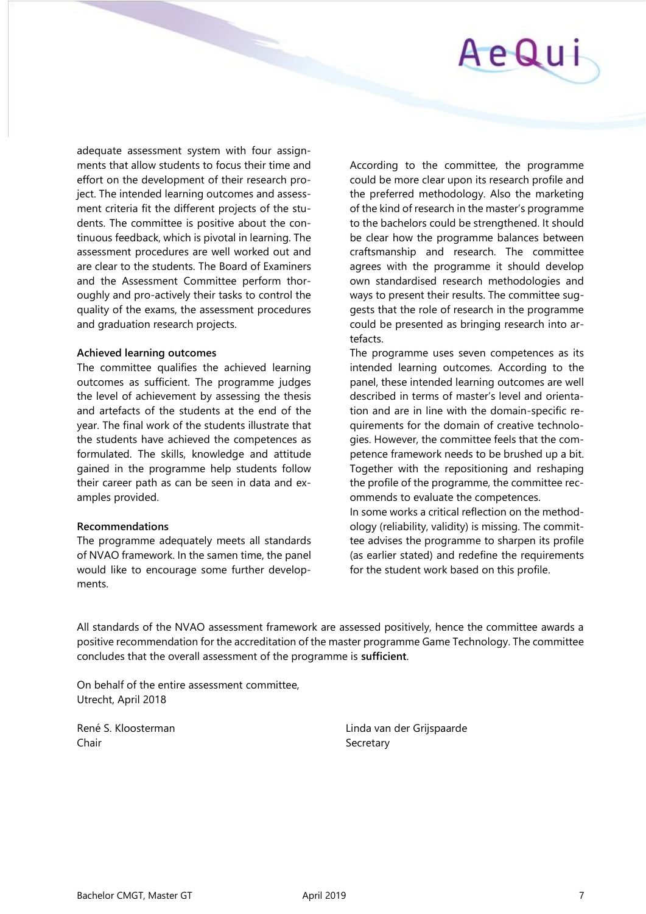

adequate assessment system with four assignments that allow students to focus their time and effort on the development of their research project. The intended learning outcomes and assessment criteria fit the different projects of the students. The committee is positive about the continuous feedback, which is pivotal in learning. The assessment procedures are well worked out and are clear to the students. The Board of Examiners and the Assessment Committee perform thoroughly and pro-actively their tasks to control the quality of the exams, the assessment procedures and graduation research projects.

#### **Achieved learning outcomes**

The committee qualifies the achieved learning outcomes as sufficient. The programme judges the level of achievement by assessing the thesis and artefacts of the students at the end of the year. The final work of the students illustrate that the students have achieved the competences as formulated. The skills, knowledge and attitude gained in the programme help students follow their career path as can be seen in data and examples provided.

#### **Recommendations**

The programme adequately meets all standards of NVAO framework. In the samen time, the panel would like to encourage some further developments.

According to the committee, the programme could be more clear upon its research profile and the preferred methodology. Also the marketing of the kind of research in the master's programme to the bachelors could be strengthened. It should be clear how the programme balances between craftsmanship and research. The committee agrees with the programme it should develop own standardised research methodologies and ways to present their results. The committee suggests that the role of research in the programme could be presented as bringing research into artefacts.

The programme uses seven competences as its intended learning outcomes. According to the panel, these intended learning outcomes are well described in terms of master's level and orientation and are in line with the domain-specific requirements for the domain of creative technologies. However, the committee feels that the competence framework needs to be brushed up a bit. Together with the repositioning and reshaping the profile of the programme, the committee recommends to evaluate the competences.

In some works a critical reflection on the methodology (reliability, validity) is missing. The committee advises the programme to sharpen its profile (as earlier stated) and redefine the requirements for the student work based on this profile.

All standards of the NVAO assessment framework are assessed positively, hence the committee awards a positive recommendation for the accreditation of the master programme Game Technology. The committee concludes that the overall assessment of the programme is **sufficient**.

On behalf of the entire assessment committee, Utrecht, April 2018

Chair Secretary Secretary

René S. Kloosterman Linda van der Grijspaarde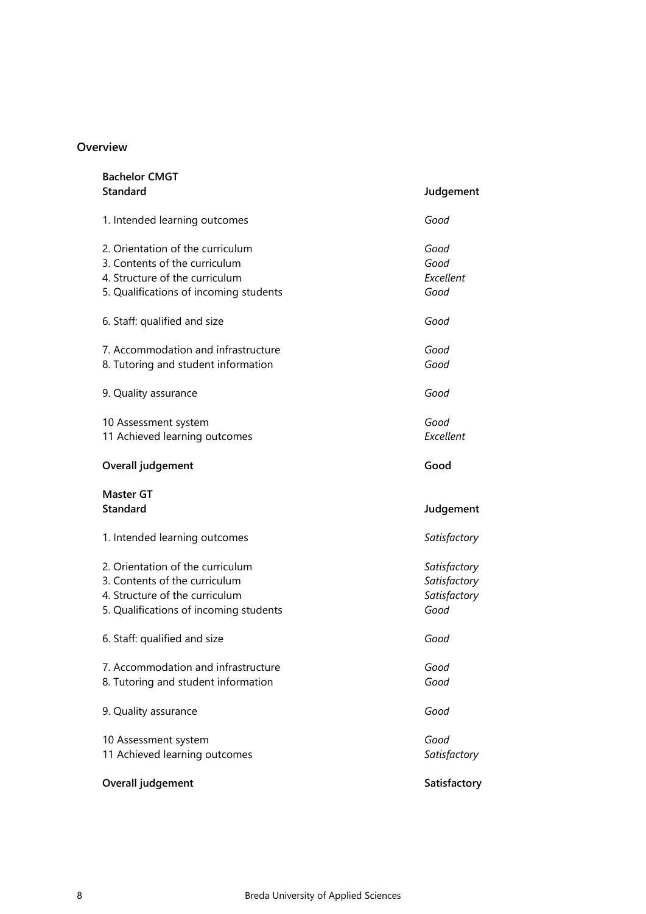### **Overview**

| <b>Bachelor CMGT</b><br><b>Standard</b>                                                                                                       | Judgement                                            |
|-----------------------------------------------------------------------------------------------------------------------------------------------|------------------------------------------------------|
| 1. Intended learning outcomes                                                                                                                 | Good                                                 |
| 2. Orientation of the curriculum<br>3. Contents of the curriculum<br>4. Structure of the curriculum<br>5. Qualifications of incoming students | Good<br>Good<br>Excellent<br>Good                    |
| 6. Staff: qualified and size                                                                                                                  | Good                                                 |
| 7. Accommodation and infrastructure<br>8. Tutoring and student information                                                                    | Good<br>Good                                         |
| 9. Quality assurance                                                                                                                          | Good                                                 |
| 10 Assessment system<br>11 Achieved learning outcomes                                                                                         | Good<br>Excellent                                    |
| Overall judgement                                                                                                                             | Good                                                 |
| <b>Master GT</b><br><b>Standard</b>                                                                                                           | Judgement                                            |
| 1. Intended learning outcomes                                                                                                                 | Satisfactory                                         |
| 2. Orientation of the curriculum<br>3. Contents of the curriculum<br>4. Structure of the curriculum<br>5. Qualifications of incoming students | Satisfactory<br>Satisfactory<br>Satisfactory<br>Good |
| 6. Staff: qualified and size                                                                                                                  | Good                                                 |
| 7. Accommodation and infrastructure<br>8. Tutoring and student information                                                                    | Good<br>Good                                         |
| 9. Quality assurance                                                                                                                          | Good                                                 |
| 10 Assessment system<br>11 Achieved learning outcomes                                                                                         | Good<br>Satisfactory                                 |
| Overall judgement                                                                                                                             | Satisfactory                                         |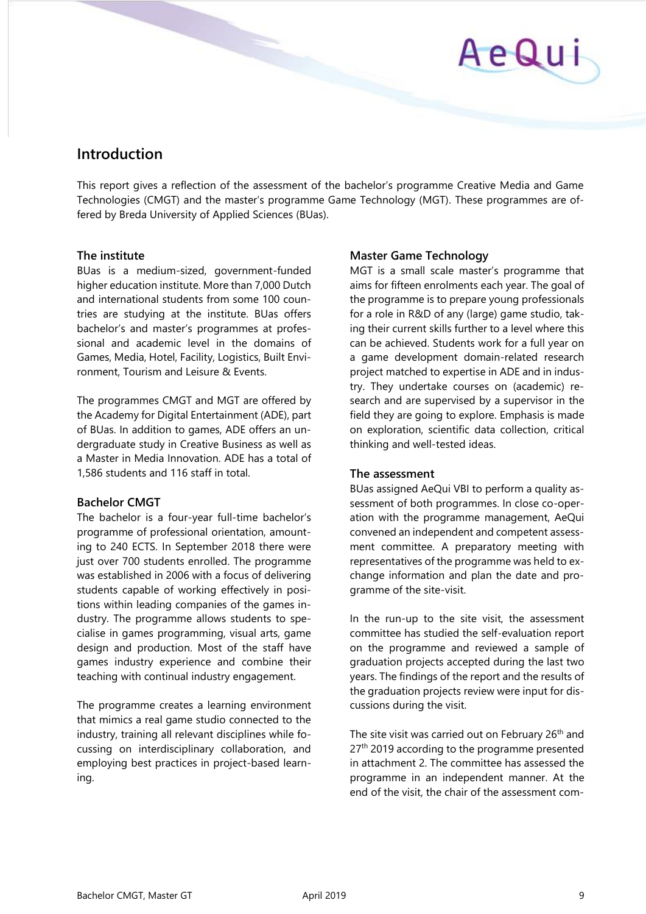# AeQui

# <span id="page-8-0"></span>**Introduction**

This report gives a reflection of the assessment of the bachelor's programme Creative Media and Game Technologies (CMGT) and the master's programme Game Technology (MGT). These programmes are offered by Breda University of Applied Sciences (BUas).

## **The institute**

BUas is a medium-sized, government-funded higher education institute. More than 7,000 Dutch and international students from some 100 countries are studying at the institute. BUas offers bachelor's and master's programmes at professional and academic level in the domains of Games, Media, Hotel, Facility, Logistics, Built Environment, Tourism and Leisure & Events.

The programmes CMGT and MGT are offered by the Academy for Digital Entertainment (ADE), part of BUas. In addition to games, ADE offers an undergraduate study in Creative Business as well as a Master in Media Innovation. ADE has a total of 1,586 students and 116 staff in total.

## **Bachelor CMGT**

The bachelor is a four-year full-time bachelor's programme of professional orientation, amounting to 240 ECTS. In September 2018 there were just over 700 students enrolled. The programme was established in 2006 with a focus of delivering students capable of working effectively in positions within leading companies of the games industry. The programme allows students to specialise in games programming, visual arts, game design and production. Most of the staff have games industry experience and combine their teaching with continual industry engagement.

The programme creates a learning environment that mimics a real game studio connected to the industry, training all relevant disciplines while focussing on interdisciplinary collaboration, and employing best practices in project-based learning.

# **Master Game Technology**

MGT is a small scale master's programme that aims for fifteen enrolments each year. The goal of the programme is to prepare young professionals for a role in R&D of any (large) game studio, taking their current skills further to a level where this can be achieved. Students work for a full year on a game development domain-related research project matched to expertise in ADE and in industry. They undertake courses on (academic) research and are supervised by a supervisor in the field they are going to explore. Emphasis is made on exploration, scientific data collection, critical thinking and well-tested ideas.

# **The assessment**

BUas assigned AeQui VBI to perform a quality assessment of both programmes. In close co-operation with the programme management, AeQui convened an independent and competent assessment committee. A preparatory meeting with representatives of the programme was held to exchange information and plan the date and programme of the site-visit.

In the run-up to the site visit, the assessment committee has studied the self-evaluation report on the programme and reviewed a sample of graduation projects accepted during the last two years. The findings of the report and the results of the graduation projects review were input for discussions during the visit.

The site visit was carried out on February 26<sup>th</sup> and 27<sup>th</sup> 2019 according to the programme presented in attachment 2. The committee has assessed the programme in an independent manner. At the end of the visit, the chair of the assessment com-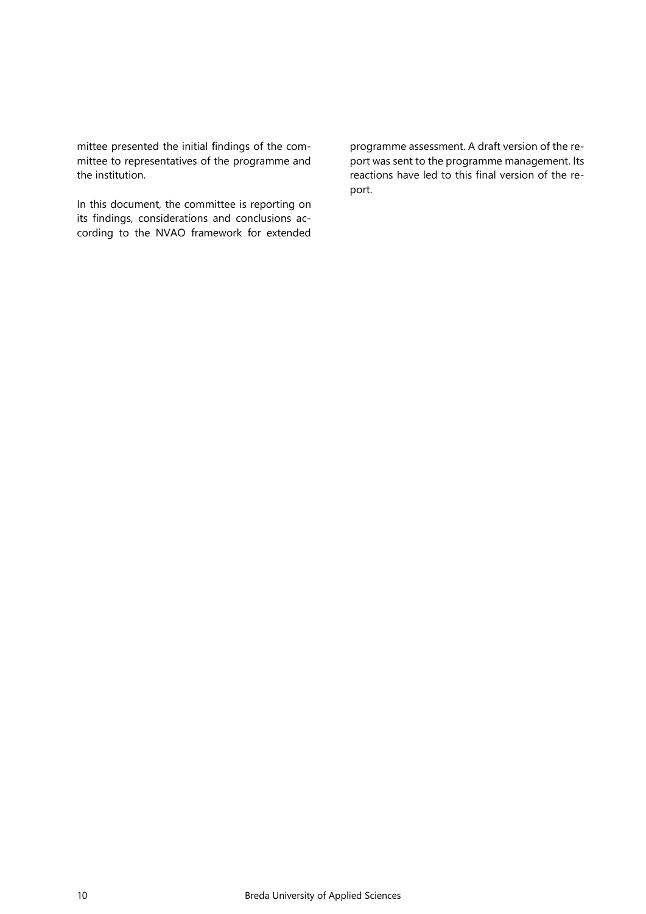mittee presented the initial findings of the committee to representatives of the programme and the institution.

In this document, the committee is reporting on its findings, considerations and conclusions according to the NVAO framework for extended

programme assessment. A draft version of the report was sent to the programme management. Its reactions have led to this final version of the report.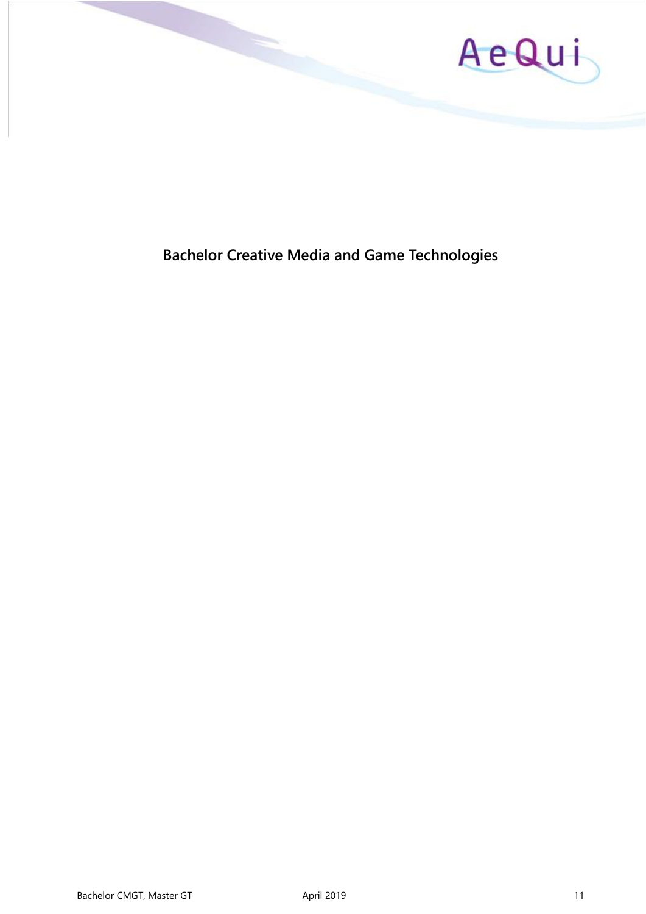

# <span id="page-10-0"></span>**Bachelor Creative Media and Game Technologies**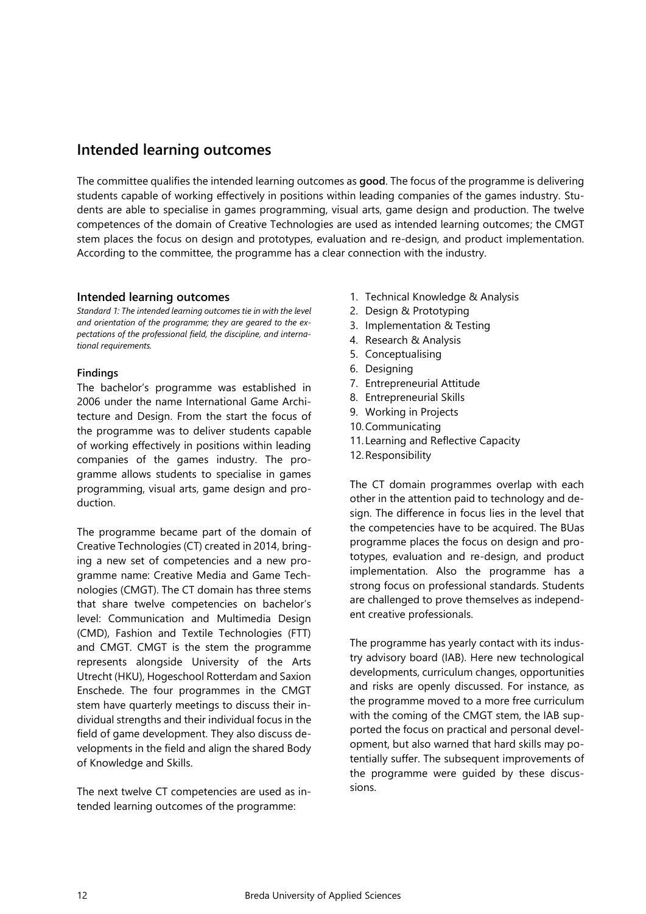# <span id="page-11-0"></span>**Intended learning outcomes**

The committee qualifies the intended learning outcomes as **good**. The focus of the programme is delivering students capable of working effectively in positions within leading companies of the games industry. Students are able to specialise in games programming, visual arts, game design and production. The twelve competences of the domain of Creative Technologies are used as intended learning outcomes; the CMGT stem places the focus on design and prototypes, evaluation and re-design, and product implementation. According to the committee, the programme has a clear connection with the industry.

#### **Intended learning outcomes**

*Standard 1: The intended learning outcomes tie in with the level and orientation of the programme; they are geared to the expectations of the professional field, the discipline, and international requirements.*

#### **Findings**

The bachelor's programme was established in 2006 under the name International Game Architecture and Design. From the start the focus of the programme was to deliver students capable of working effectively in positions within leading companies of the games industry. The programme allows students to specialise in games programming, visual arts, game design and production.

The programme became part of the domain of Creative Technologies (CT) created in 2014, bringing a new set of competencies and a new programme name: Creative Media and Game Technologies (CMGT). The CT domain has three stems that share twelve competencies on bachelor's level: Communication and Multimedia Design (CMD), Fashion and Textile Technologies (FTT) and CMGT. CMGT is the stem the programme represents alongside University of the Arts Utrecht (HKU), Hogeschool Rotterdam and Saxion Enschede. The four programmes in the CMGT stem have quarterly meetings to discuss their individual strengths and their individual focus in the field of game development. They also discuss developments in the field and align the shared Body of Knowledge and Skills.

The next twelve CT competencies are used as intended learning outcomes of the programme:

- 1. Technical Knowledge & Analysis
- 2. Design & Prototyping
- 3. Implementation & Testing
- 4. Research & Analysis
- 5. Conceptualising
- 6. Designing
- 7. Entrepreneurial Attitude
- 8. Entrepreneurial Skills
- 9. Working in Projects
- 10.Communicating
- 11. Learning and Reflective Capacity
- 12.Responsibility

The CT domain programmes overlap with each other in the attention paid to technology and design. The difference in focus lies in the level that the competencies have to be acquired. The BUas programme places the focus on design and prototypes, evaluation and re-design, and product implementation. Also the programme has a strong focus on professional standards. Students are challenged to prove themselves as independent creative professionals.

The programme has yearly contact with its industry advisory board (IAB). Here new technological developments, curriculum changes, opportunities and risks are openly discussed. For instance, as the programme moved to a more free curriculum with the coming of the CMGT stem, the IAB supported the focus on practical and personal development, but also warned that hard skills may potentially suffer. The subsequent improvements of the programme were guided by these discussions.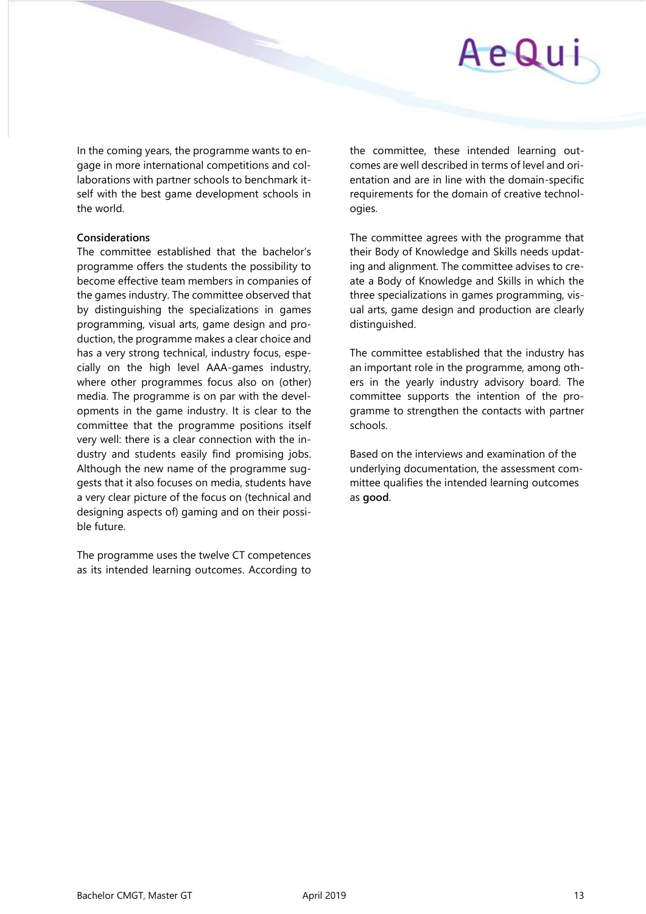In the coming years, the programme wants to engage in more international competitions and collaborations with partner schools to benchmark itself with the best game development schools in the world.

#### **Considerations**

The committee established that the bachelor's programme offers the students the possibility to become effective team members in companies of the games industry. The committee observed that by distinguishing the specializations in games programming, visual arts, game design and production, the programme makes a clear choice and has a very strong technical, industry focus, especially on the high level AAA-games industry, where other programmes focus also on (other) media. The programme is on par with the developments in the game industry. It is clear to the committee that the programme positions itself very well: there is a clear connection with the industry and students easily find promising jobs. Although the new name of the programme suggests that it also focuses on media, students have a very clear picture of the focus on (technical and designing aspects of) gaming and on their possible future.

The programme uses the twelve CT competences as its intended learning outcomes. According to the committee, these intended learning outcomes are well described in terms of level and orientation and are in line with the domain-specific requirements for the domain of creative technologies.

The committee agrees with the programme that their Body of Knowledge and Skills needs updating and alignment. The committee advises to create a Body of Knowledge and Skills in which the three specializations in games programming, visual arts, game design and production are clearly distinguished.

The committee established that the industry has an important role in the programme, among others in the yearly industry advisory board. The committee supports the intention of the programme to strengthen the contacts with partner schools.

Based on the interviews and examination of the underlying documentation, the assessment committee qualifies the intended learning outcomes as **good**.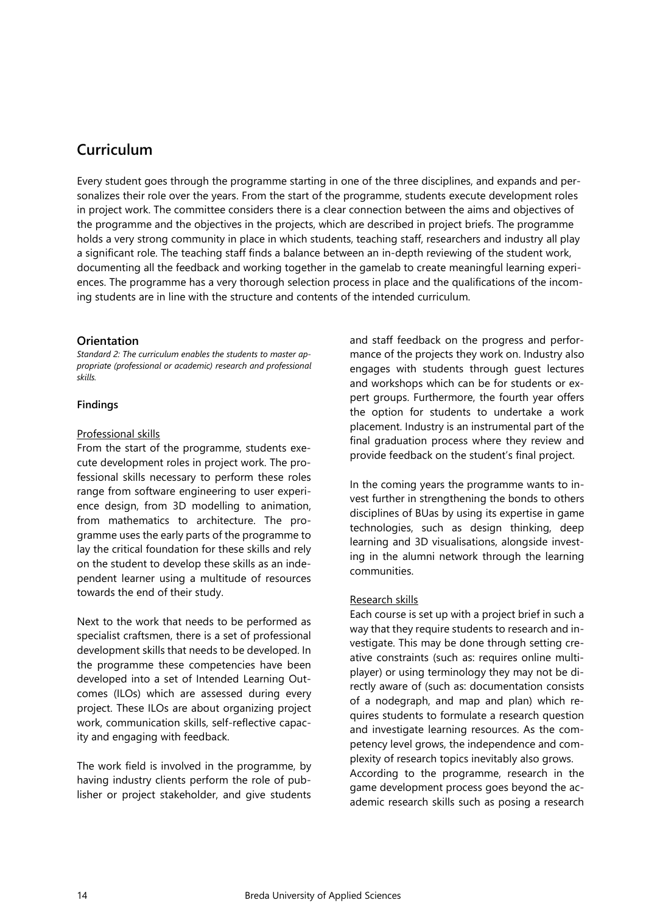# <span id="page-13-0"></span>**Curriculum**

Every student goes through the programme starting in one of the three disciplines, and expands and personalizes their role over the years. From the start of the programme, students execute development roles in project work. The committee considers there is a clear connection between the aims and objectives of the programme and the objectives in the projects, which are described in project briefs. The programme holds a very strong community in place in which students, teaching staff, researchers and industry all play a significant role. The teaching staff finds a balance between an in-depth reviewing of the student work, documenting all the feedback and working together in the gamelab to create meaningful learning experiences. The programme has a very thorough selection process in place and the qualifications of the incoming students are in line with the structure and contents of the intended curriculum.

#### **Orientation**

*Standard 2: The curriculum enables the students to master appropriate (professional or academic) research and professional skills.* 

#### **Findings**

#### Professional skills

From the start of the programme, students execute development roles in project work. The professional skills necessary to perform these roles range from software engineering to user experience design, from 3D modelling to animation, from mathematics to architecture. The programme uses the early parts of the programme to lay the critical foundation for these skills and rely on the student to develop these skills as an independent learner using a multitude of resources towards the end of their study.

Next to the work that needs to be performed as specialist craftsmen, there is a set of professional development skills that needs to be developed. In the programme these competencies have been developed into a set of Intended Learning Outcomes (ILOs) which are assessed during every project. These ILOs are about organizing project work, communication skills, self-reflective capacity and engaging with feedback.

The work field is involved in the programme, by having industry clients perform the role of publisher or project stakeholder, and give students

and staff feedback on the progress and performance of the projects they work on. Industry also engages with students through guest lectures and workshops which can be for students or expert groups. Furthermore, the fourth year offers the option for students to undertake a work placement. Industry is an instrumental part of the final graduation process where they review and provide feedback on the student's final project.

In the coming years the programme wants to invest further in strengthening the bonds to others disciplines of BUas by using its expertise in game technologies, such as design thinking, deep learning and 3D visualisations, alongside investing in the alumni network through the learning communities.

#### Research skills

Each course is set up with a project brief in such a way that they require students to research and investigate. This may be done through setting creative constraints (such as: requires online multiplayer) or using terminology they may not be directly aware of (such as: documentation consists of a nodegraph, and map and plan) which requires students to formulate a research question and investigate learning resources. As the competency level grows, the independence and complexity of research topics inevitably also grows. According to the programme, research in the game development process goes beyond the academic research skills such as posing a research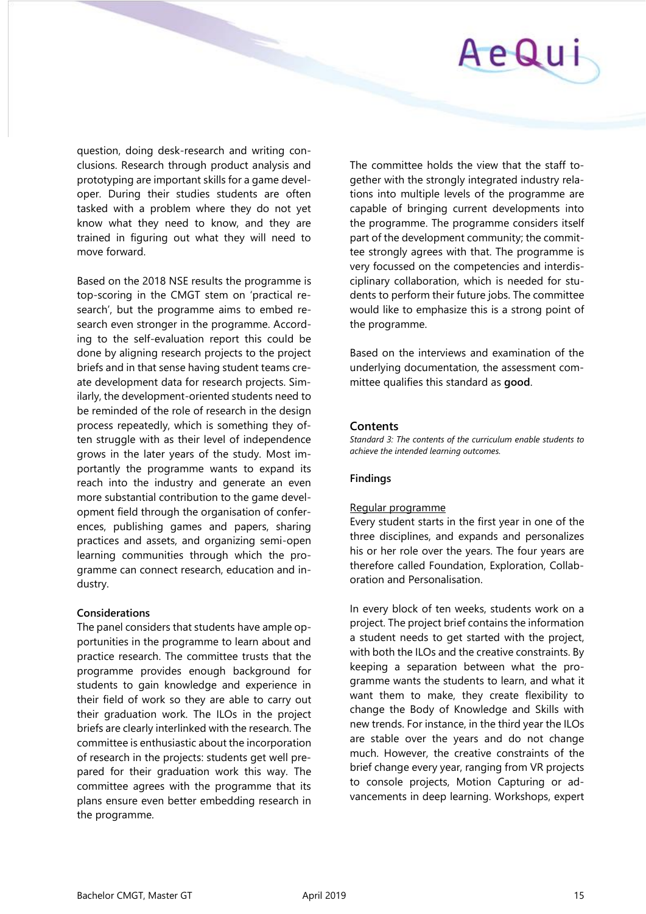

question, doing desk-research and writing conclusions. Research through product analysis and prototyping are important skills for a game developer. During their studies students are often tasked with a problem where they do not yet know what they need to know, and they are trained in figuring out what they will need to move forward.

Based on the 2018 NSE results the programme is top-scoring in the CMGT stem on 'practical research', but the programme aims to embed research even stronger in the programme. According to the self-evaluation report this could be done by aligning research projects to the project briefs and in that sense having student teams create development data for research projects. Similarly, the development-oriented students need to be reminded of the role of research in the design process repeatedly, which is something they often struggle with as their level of independence grows in the later years of the study. Most importantly the programme wants to expand its reach into the industry and generate an even more substantial contribution to the game development field through the organisation of conferences, publishing games and papers, sharing practices and assets, and organizing semi-open learning communities through which the programme can connect research, education and industry.

#### **Considerations**

The panel considers that students have ample opportunities in the programme to learn about and practice research. The committee trusts that the programme provides enough background for students to gain knowledge and experience in their field of work so they are able to carry out their graduation work. The ILOs in the project briefs are clearly interlinked with the research. The committee is enthusiastic about the incorporation of research in the projects: students get well prepared for their graduation work this way. The committee agrees with the programme that its plans ensure even better embedding research in the programme.

The committee holds the view that the staff together with the strongly integrated industry relations into multiple levels of the programme are capable of bringing current developments into the programme. The programme considers itself part of the development community; the committee strongly agrees with that. The programme is very focussed on the competencies and interdisciplinary collaboration, which is needed for students to perform their future jobs. The committee would like to emphasize this is a strong point of the programme.

Based on the interviews and examination of the underlying documentation, the assessment committee qualifies this standard as **good**.

#### **Contents**

*Standard 3: The contents of the curriculum enable students to achieve the intended learning outcomes.* 

#### **Findings**

#### Regular programme

Every student starts in the first year in one of the three disciplines, and expands and personalizes his or her role over the years. The four years are therefore called Foundation, Exploration, Collaboration and Personalisation.

In every block of ten weeks, students work on a project. The project brief contains the information a student needs to get started with the project, with both the ILOs and the creative constraints. By keeping a separation between what the programme wants the students to learn, and what it want them to make, they create flexibility to change the Body of Knowledge and Skills with new trends. For instance, in the third year the ILOs are stable over the years and do not change much. However, the creative constraints of the brief change every year, ranging from VR projects to console projects, Motion Capturing or advancements in deep learning. Workshops, expert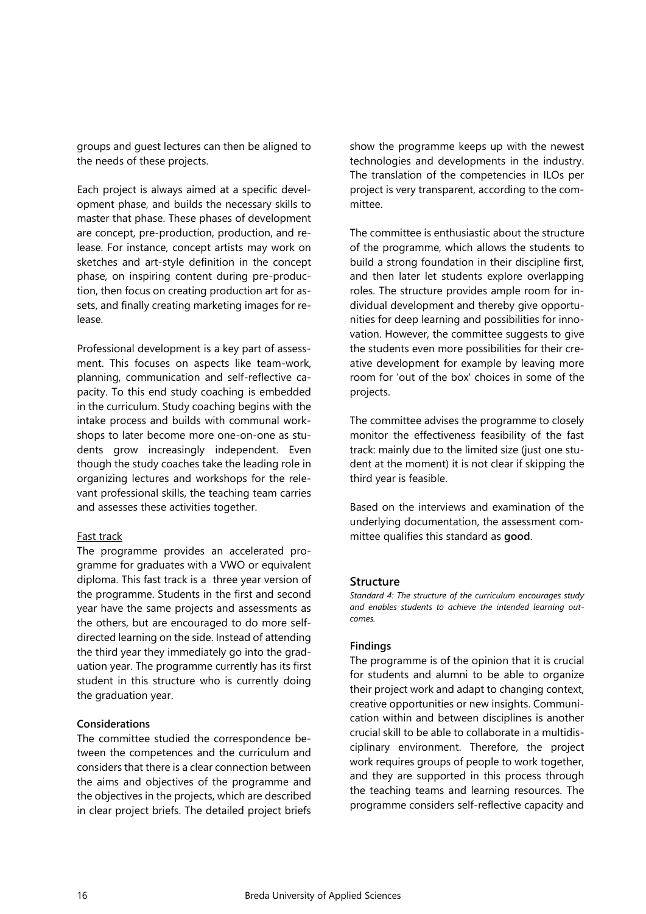groups and guest lectures can then be aligned to the needs of these projects.

Each project is always aimed at a specific development phase, and builds the necessary skills to master that phase. These phases of development are concept, pre-production, production, and release. For instance, concept artists may work on sketches and art-style definition in the concept phase, on inspiring content during pre-production, then focus on creating production art for assets, and finally creating marketing images for release.

Professional development is a key part of assessment. This focuses on aspects like team-work, planning, communication and self-reflective capacity. To this end study coaching is embedded in the curriculum. Study coaching begins with the intake process and builds with communal workshops to later become more one-on-one as students grow increasingly independent. Even though the study coaches take the leading role in organizing lectures and workshops for the relevant professional skills, the teaching team carries and assesses these activities together.

#### Fast track

The programme provides an accelerated programme for graduates with a VWO or equivalent diploma. This fast track is a three year version of the programme. Students in the first and second year have the same projects and assessments as the others, but are encouraged to do more selfdirected learning on the side. Instead of attending the third year they immediately go into the graduation year. The programme currently has its first student in this structure who is currently doing the graduation year.

#### **Considerations**

The committee studied the correspondence between the competences and the curriculum and considers that there is a clear connection between the aims and objectives of the programme and the objectives in the projects, which are described in clear project briefs. The detailed project briefs

show the programme keeps up with the newest technologies and developments in the industry. The translation of the competencies in ILOs per project is very transparent, according to the committee.

The committee is enthusiastic about the structure of the programme, which allows the students to build a strong foundation in their discipline first, and then later let students explore overlapping roles. The structure provides ample room for individual development and thereby give opportunities for deep learning and possibilities for innovation. However, the committee suggests to give the students even more possibilities for their creative development for example by leaving more room for 'out of the box' choices in some of the projects.

The committee advises the programme to closely monitor the effectiveness feasibility of the fast track: mainly due to the limited size (just one student at the moment) it is not clear if skipping the third year is feasible.

Based on the interviews and examination of the underlying documentation, the assessment committee qualifies this standard as **good**.

#### **Structure**

*Standard 4: The structure of the curriculum encourages study and enables students to achieve the intended learning outcomes.* 

#### **Findings**

The programme is of the opinion that it is crucial for students and alumni to be able to organize their project work and adapt to changing context, creative opportunities or new insights. Communication within and between disciplines is another crucial skill to be able to collaborate in a multidisciplinary environment. Therefore, the project work requires groups of people to work together, and they are supported in this process through the teaching teams and learning resources. The programme considers self-reflective capacity and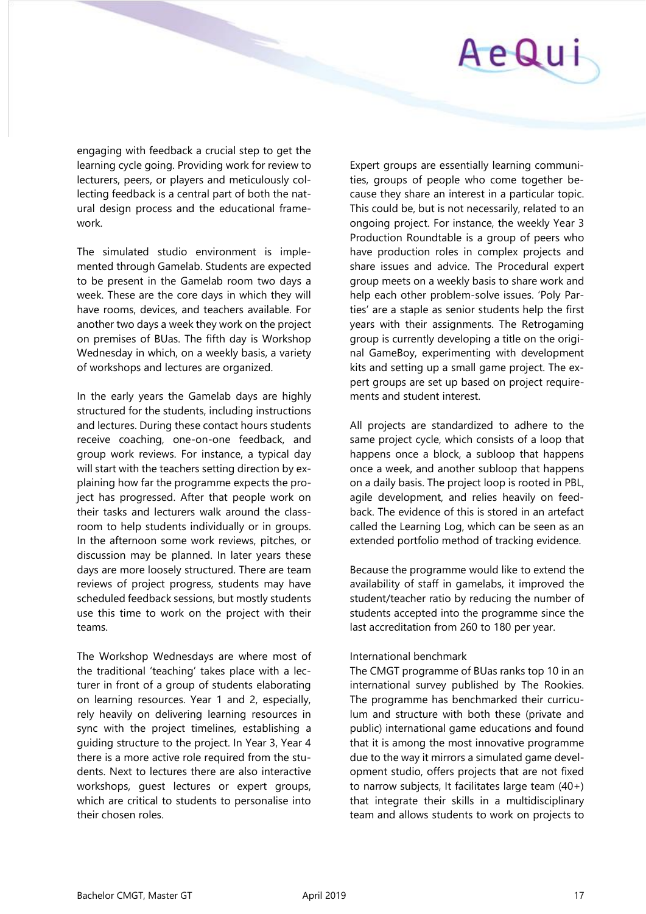

engaging with feedback a crucial step to get the learning cycle going. Providing work for review to lecturers, peers, or players and meticulously collecting feedback is a central part of both the natural design process and the educational framework.

The simulated studio environment is implemented through Gamelab. Students are expected to be present in the Gamelab room two days a week. These are the core days in which they will have rooms, devices, and teachers available. For another two days a week they work on the project on premises of BUas. The fifth day is Workshop Wednesday in which, on a weekly basis, a variety of workshops and lectures are organized.

In the early years the Gamelab days are highly structured for the students, including instructions and lectures. During these contact hours students receive coaching, one-on-one feedback, and group work reviews. For instance, a typical day will start with the teachers setting direction by explaining how far the programme expects the project has progressed. After that people work on their tasks and lecturers walk around the classroom to help students individually or in groups. In the afternoon some work reviews, pitches, or discussion may be planned. In later years these days are more loosely structured. There are team reviews of project progress, students may have scheduled feedback sessions, but mostly students use this time to work on the project with their teams.

The Workshop Wednesdays are where most of the traditional 'teaching' takes place with a lecturer in front of a group of students elaborating on learning resources. Year 1 and 2, especially, rely heavily on delivering learning resources in sync with the project timelines, establishing a guiding structure to the project. In Year 3, Year 4 there is a more active role required from the students. Next to lectures there are also interactive workshops, guest lectures or expert groups, which are critical to students to personalise into their chosen roles.

Expert groups are essentially learning communities, groups of people who come together because they share an interest in a particular topic. This could be, but is not necessarily, related to an ongoing project. For instance, the weekly Year 3 Production Roundtable is a group of peers who have production roles in complex projects and share issues and advice. The Procedural expert group meets on a weekly basis to share work and help each other problem-solve issues. 'Poly Parties' are a staple as senior students help the first years with their assignments. The Retrogaming group is currently developing a title on the original GameBoy, experimenting with development kits and setting up a small game project. The expert groups are set up based on project requirements and student interest.

All projects are standardized to adhere to the same project cycle, which consists of a loop that happens once a block, a subloop that happens once a week, and another subloop that happens on a daily basis. The project loop is rooted in PBL, agile development, and relies heavily on feedback. The evidence of this is stored in an artefact called the Learning Log, which can be seen as an extended portfolio method of tracking evidence.

Because the programme would like to extend the availability of staff in gamelabs, it improved the student/teacher ratio by reducing the number of students accepted into the programme since the last accreditation from 260 to 180 per year.

#### International benchmark

The CMGT programme of BUas ranks top 10 in an international survey published by The Rookies. The programme has benchmarked their curriculum and structure with both these (private and public) international game educations and found that it is among the most innovative programme due to the way it mirrors a simulated game development studio, offers projects that are not fixed to narrow subjects, It facilitates large team (40+) that integrate their skills in a multidisciplinary team and allows students to work on projects to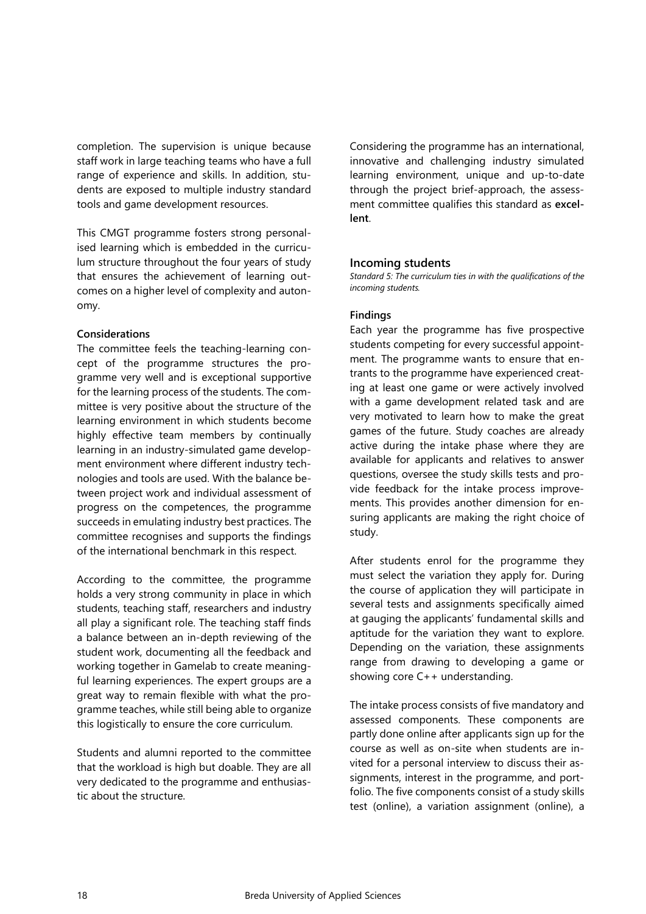completion. The supervision is unique because staff work in large teaching teams who have a full range of experience and skills. In addition, students are exposed to multiple industry standard tools and game development resources.

This CMGT programme fosters strong personalised learning which is embedded in the curriculum structure throughout the four years of study that ensures the achievement of learning outcomes on a higher level of complexity and autonomy.

#### **Considerations**

The committee feels the teaching-learning concept of the programme structures the programme very well and is exceptional supportive for the learning process of the students. The committee is very positive about the structure of the learning environment in which students become highly effective team members by continually learning in an industry-simulated game development environment where different industry technologies and tools are used. With the balance between project work and individual assessment of progress on the competences, the programme succeeds in emulating industry best practices. The committee recognises and supports the findings of the international benchmark in this respect.

According to the committee, the programme holds a very strong community in place in which students, teaching staff, researchers and industry all play a significant role. The teaching staff finds a balance between an in-depth reviewing of the student work, documenting all the feedback and working together in Gamelab to create meaningful learning experiences. The expert groups are a great way to remain flexible with what the programme teaches, while still being able to organize this logistically to ensure the core curriculum.

Students and alumni reported to the committee that the workload is high but doable. They are all very dedicated to the programme and enthusiastic about the structure.

Considering the programme has an international, innovative and challenging industry simulated learning environment, unique and up-to-date through the project brief-approach, the assessment committee qualifies this standard as **excellent**.

#### **Incoming students**

*Standard 5: The curriculum ties in with the qualifications of the incoming students.* 

#### **Findings**

Each year the programme has five prospective students competing for every successful appointment. The programme wants to ensure that entrants to the programme have experienced creating at least one game or were actively involved with a game development related task and are very motivated to learn how to make the great games of the future. Study coaches are already active during the intake phase where they are available for applicants and relatives to answer questions, oversee the study skills tests and provide feedback for the intake process improvements. This provides another dimension for ensuring applicants are making the right choice of study.

After students enrol for the programme they must select the variation they apply for. During the course of application they will participate in several tests and assignments specifically aimed at gauging the applicants' fundamental skills and aptitude for the variation they want to explore. Depending on the variation, these assignments range from drawing to developing a game or showing core C++ understanding.

The intake process consists of five mandatory and assessed components. These components are partly done online after applicants sign up for the course as well as on-site when students are invited for a personal interview to discuss their assignments, interest in the programme, and portfolio. The five components consist of a study skills test (online), a variation assignment (online), a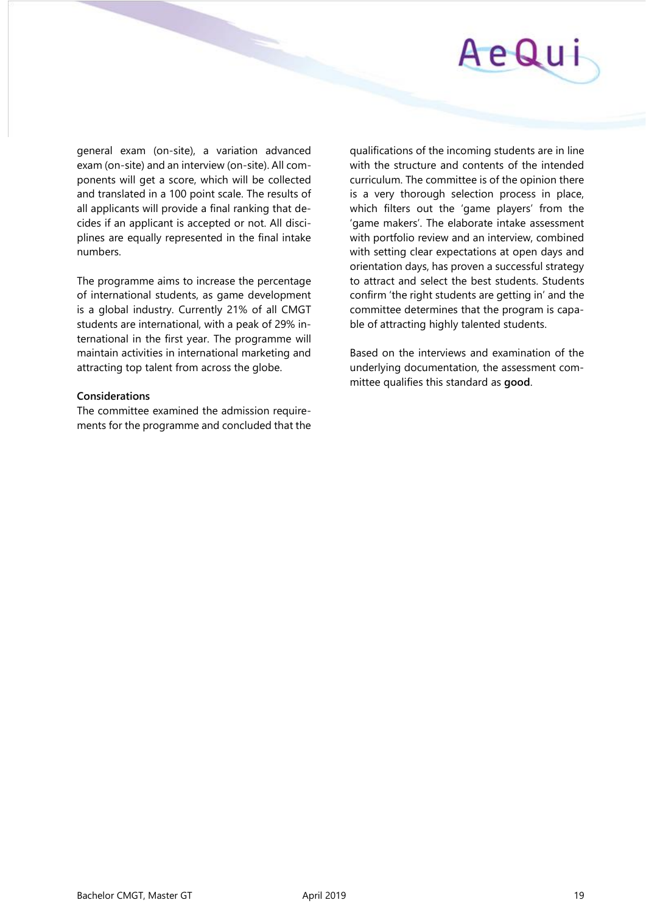

general exam (on-site), a variation advanced exam (on-site) and an interview (on-site). All components will get a score, which will be collected and translated in a 100 point scale. The results of all applicants will provide a final ranking that decides if an applicant is accepted or not. All disciplines are equally represented in the final intake numbers.

The programme aims to increase the percentage of international students, as game development is a global industry. Currently 21% of all CMGT students are international, with a peak of 29% international in the first year. The programme will maintain activities in international marketing and attracting top talent from across the globe.

#### **Considerations**

The committee examined the admission requirements for the programme and concluded that the qualifications of the incoming students are in line with the structure and contents of the intended curriculum. The committee is of the opinion there is a very thorough selection process in place, which filters out the 'game players' from the 'game makers'. The elaborate intake assessment with portfolio review and an interview, combined with setting clear expectations at open days and orientation days, has proven a successful strategy to attract and select the best students. Students confirm 'the right students are getting in' and the committee determines that the program is capable of attracting highly talented students.

Based on the interviews and examination of the underlying documentation, the assessment committee qualifies this standard as **good**.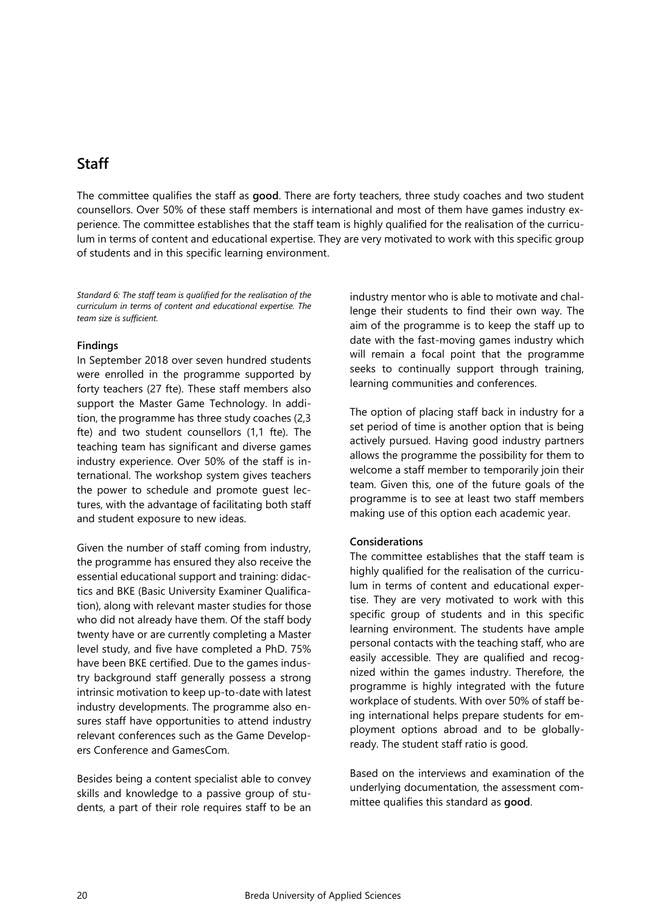# <span id="page-19-0"></span>**Staff**

The committee qualifies the staff as **good**. There are forty teachers, three study coaches and two student counsellors. Over 50% of these staff members is international and most of them have games industry experience. The committee establishes that the staff team is highly qualified for the realisation of the curriculum in terms of content and educational expertise. They are very motivated to work with this specific group of students and in this specific learning environment.

*Standard 6: The staff team is qualified for the realisation of the curriculum in terms of content and educational expertise. The team size is sufficient.*

#### **Findings**

In September 2018 over seven hundred students were enrolled in the programme supported by forty teachers (27 fte). These staff members also support the Master Game Technology. In addition, the programme has three study coaches (2,3 fte) and two student counsellors (1,1 fte). The teaching team has significant and diverse games industry experience. Over 50% of the staff is international. The workshop system gives teachers the power to schedule and promote guest lectures, with the advantage of facilitating both staff and student exposure to new ideas.

Given the number of staff coming from industry, the programme has ensured they also receive the essential educational support and training: didactics and BKE (Basic University Examiner Qualification), along with relevant master studies for those who did not already have them. Of the staff body twenty have or are currently completing a Master level study, and five have completed a PhD. 75% have been BKE certified. Due to the games industry background staff generally possess a strong intrinsic motivation to keep up-to-date with latest industry developments. The programme also ensures staff have opportunities to attend industry relevant conferences such as the Game Developers Conference and GamesCom.

Besides being a content specialist able to convey skills and knowledge to a passive group of students, a part of their role requires staff to be an

industry mentor who is able to motivate and challenge their students to find their own way. The aim of the programme is to keep the staff up to date with the fast-moving games industry which will remain a focal point that the programme seeks to continually support through training, learning communities and conferences.

The option of placing staff back in industry for a set period of time is another option that is being actively pursued. Having good industry partners allows the programme the possibility for them to welcome a staff member to temporarily join their team. Given this, one of the future goals of the programme is to see at least two staff members making use of this option each academic year.

### **Considerations**

The committee establishes that the staff team is highly qualified for the realisation of the curriculum in terms of content and educational expertise. They are very motivated to work with this specific group of students and in this specific learning environment. The students have ample personal contacts with the teaching staff, who are easily accessible. They are qualified and recognized within the games industry. Therefore, the programme is highly integrated with the future workplace of students. With over 50% of staff being international helps prepare students for employment options abroad and to be globallyready. The student staff ratio is good.

Based on the interviews and examination of the underlying documentation, the assessment committee qualifies this standard as **good**.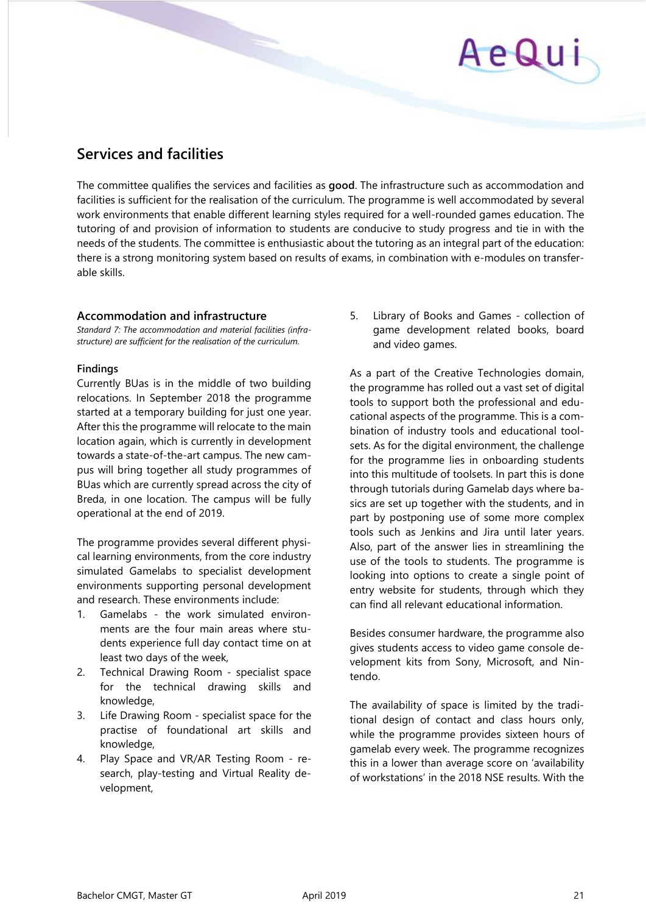# AeQui

# <span id="page-20-0"></span>**Services and facilities**

The committee qualifies the services and facilities as **good**. The infrastructure such as accommodation and facilities is sufficient for the realisation of the curriculum. The programme is well accommodated by several work environments that enable different learning styles required for a well-rounded games education. The tutoring of and provision of information to students are conducive to study progress and tie in with the needs of the students. The committee is enthusiastic about the tutoring as an integral part of the education: there is a strong monitoring system based on results of exams, in combination with e-modules on transferable skills.

### **Accommodation and infrastructure**

*Standard 7: The accommodation and material facilities (infrastructure) are sufficient for the realisation of the curriculum.* 

#### **Findings**

Currently BUas is in the middle of two building relocations. In September 2018 the programme started at a temporary building for just one year. After this the programme will relocate to the main location again, which is currently in development towards a state-of-the-art campus. The new campus will bring together all study programmes of BUas which are currently spread across the city of Breda, in one location. The campus will be fully operational at the end of 2019.

The programme provides several different physical learning environments, from the core industry simulated Gamelabs to specialist development environments supporting personal development and research. These environments include:

- 1. Gamelabs the work simulated environments are the four main areas where students experience full day contact time on at least two days of the week,
- 2. Technical Drawing Room specialist space for the technical drawing skills and knowledge,
- 3. Life Drawing Room specialist space for the practise of foundational art skills and knowledge,
- 4. Play Space and VR/AR Testing Room research, play-testing and Virtual Reality development,

5. Library of Books and Games - collection of game development related books, board and video games.

As a part of the Creative Technologies domain, the programme has rolled out a vast set of digital tools to support both the professional and educational aspects of the programme. This is a combination of industry tools and educational toolsets. As for the digital environment, the challenge for the programme lies in onboarding students into this multitude of toolsets. In part this is done through tutorials during Gamelab days where basics are set up together with the students, and in part by postponing use of some more complex tools such as Jenkins and Jira until later years. Also, part of the answer lies in streamlining the use of the tools to students. The programme is looking into options to create a single point of entry website for students, through which they can find all relevant educational information.

Besides consumer hardware, the programme also gives students access to video game console development kits from Sony, Microsoft, and Nintendo.

The availability of space is limited by the traditional design of contact and class hours only, while the programme provides sixteen hours of gamelab every week. The programme recognizes this in a lower than average score on 'availability of workstations' in the 2018 NSE results. With the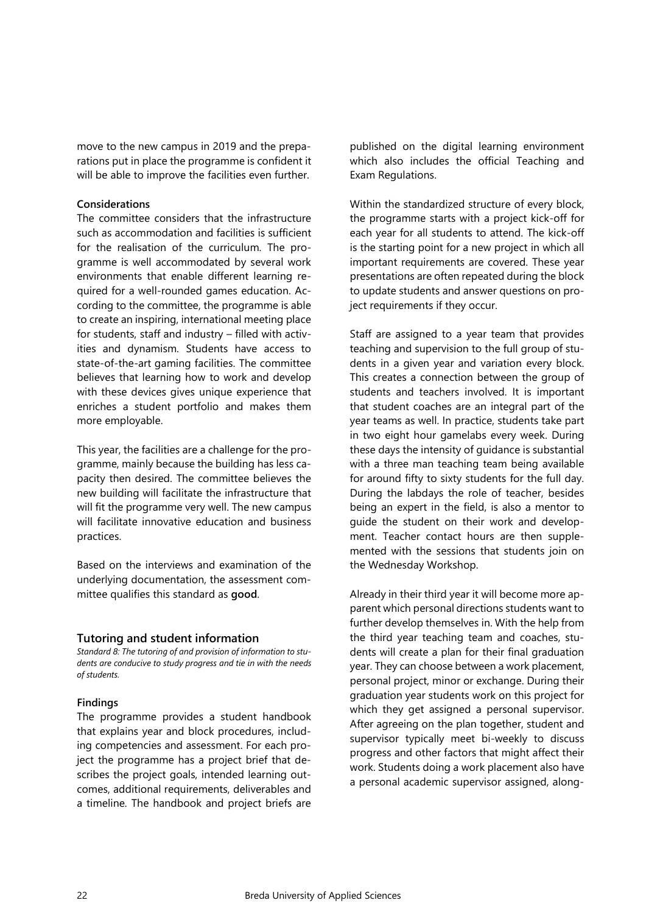move to the new campus in 2019 and the preparations put in place the programme is confident it will be able to improve the facilities even further.

#### **Considerations**

The committee considers that the infrastructure such as accommodation and facilities is sufficient for the realisation of the curriculum. The programme is well accommodated by several work environments that enable different learning required for a well-rounded games education. According to the committee, the programme is able to create an inspiring, international meeting place for students, staff and industry – filled with activities and dynamism. Students have access to state-of-the-art gaming facilities. The committee believes that learning how to work and develop with these devices gives unique experience that enriches a student portfolio and makes them more employable.

This year, the facilities are a challenge for the programme, mainly because the building has less capacity then desired. The committee believes the new building will facilitate the infrastructure that will fit the programme very well. The new campus will facilitate innovative education and business practices.

Based on the interviews and examination of the underlying documentation, the assessment committee qualifies this standard as **good**.

#### **Tutoring and student information**

*Standard 8: The tutoring of and provision of information to students are conducive to study progress and tie in with the needs of students.* 

#### **Findings**

The programme provides a student handbook that explains year and block procedures, including competencies and assessment. For each project the programme has a project brief that describes the project goals, intended learning outcomes, additional requirements, deliverables and a timeline. The handbook and project briefs are

published on the digital learning environment which also includes the official Teaching and Exam Regulations.

Within the standardized structure of every block, the programme starts with a project kick-off for each year for all students to attend. The kick-off is the starting point for a new project in which all important requirements are covered. These year presentations are often repeated during the block to update students and answer questions on project requirements if they occur.

Staff are assigned to a year team that provides teaching and supervision to the full group of students in a given year and variation every block. This creates a connection between the group of students and teachers involved. It is important that student coaches are an integral part of the year teams as well. In practice, students take part in two eight hour gamelabs every week. During these days the intensity of guidance is substantial with a three man teaching team being available for around fifty to sixty students for the full day. During the labdays the role of teacher, besides being an expert in the field, is also a mentor to guide the student on their work and development. Teacher contact hours are then supplemented with the sessions that students join on the Wednesday Workshop.

Already in their third year it will become more apparent which personal directions students want to further develop themselves in. With the help from the third year teaching team and coaches, students will create a plan for their final graduation year. They can choose between a work placement, personal project, minor or exchange. During their graduation year students work on this project for which they get assigned a personal supervisor. After agreeing on the plan together, student and supervisor typically meet bi-weekly to discuss progress and other factors that might affect their work. Students doing a work placement also have a personal academic supervisor assigned, along-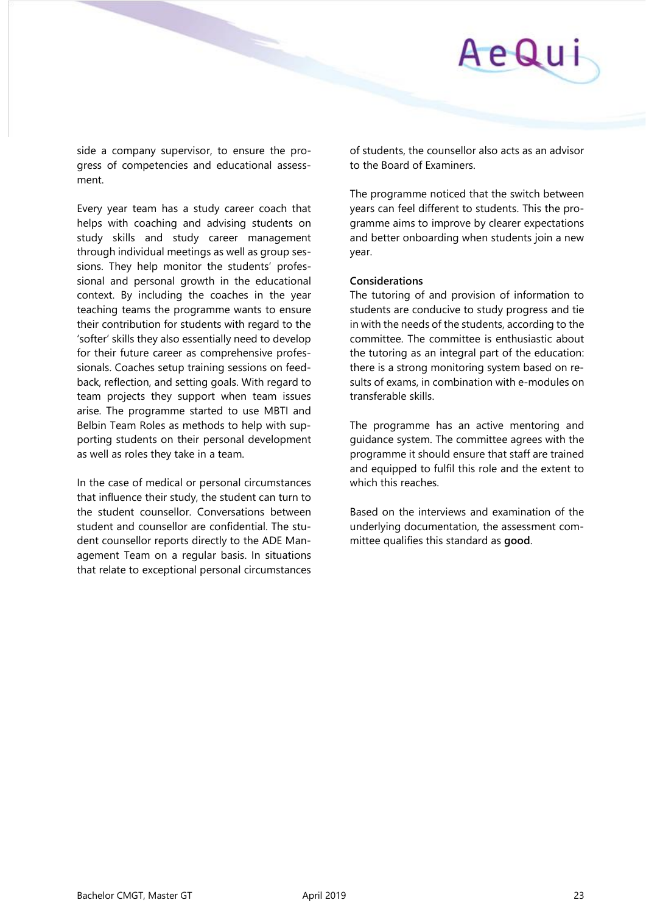side a company supervisor, to ensure the progress of competencies and educational assessment.

Every year team has a study career coach that helps with coaching and advising students on study skills and study career management through individual meetings as well as group sessions. They help monitor the students' professional and personal growth in the educational context. By including the coaches in the year teaching teams the programme wants to ensure their contribution for students with regard to the 'softer' skills they also essentially need to develop for their future career as comprehensive professionals. Coaches setup training sessions on feedback, reflection, and setting goals. With regard to team projects they support when team issues arise. The programme started to use MBTI and Belbin Team Roles as methods to help with supporting students on their personal development as well as roles they take in a team.

In the case of medical or personal circumstances that influence their study, the student can turn to the student counsellor. Conversations between student and counsellor are confidential. The student counsellor reports directly to the ADE Management Team on a regular basis. In situations that relate to exceptional personal circumstances of students, the counsellor also acts as an advisor to the Board of Examiners.

The programme noticed that the switch between years can feel different to students. This the programme aims to improve by clearer expectations and better onboarding when students join a new year.

#### **Considerations**

The tutoring of and provision of information to students are conducive to study progress and tie in with the needs of the students, according to the committee. The committee is enthusiastic about the tutoring as an integral part of the education: there is a strong monitoring system based on results of exams, in combination with e-modules on transferable skills.

The programme has an active mentoring and guidance system. The committee agrees with the programme it should ensure that staff are trained and equipped to fulfil this role and the extent to which this reaches.

Based on the interviews and examination of the underlying documentation, the assessment committee qualifies this standard as **good**.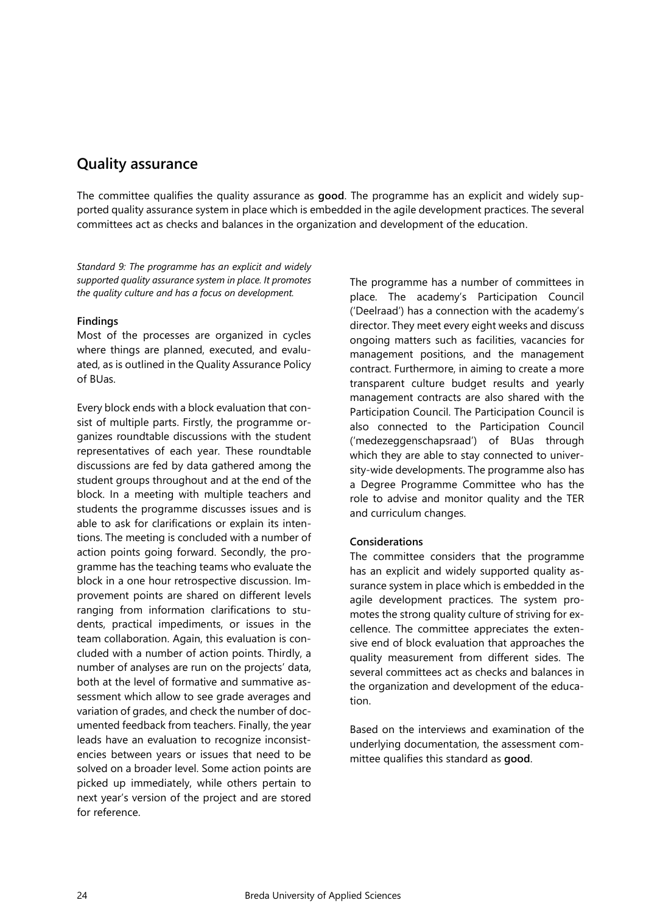# <span id="page-23-0"></span>**Quality assurance**

The committee qualifies the quality assurance as **good**. The programme has an explicit and widely supported quality assurance system in place which is embedded in the agile development practices. The several committees act as checks and balances in the organization and development of the education.

*Standard 9: The programme has an explicit and widely supported quality assurance system in place. It promotes the quality culture and has a focus on development.*

#### **Findings**

Most of the processes are organized in cycles where things are planned, executed, and evaluated, as is outlined in the Quality Assurance Policy of BUas.

Every block ends with a block evaluation that consist of multiple parts. Firstly, the programme organizes roundtable discussions with the student representatives of each year. These roundtable discussions are fed by data gathered among the student groups throughout and at the end of the block. In a meeting with multiple teachers and students the programme discusses issues and is able to ask for clarifications or explain its intentions. The meeting is concluded with a number of action points going forward. Secondly, the programme has the teaching teams who evaluate the block in a one hour retrospective discussion. Improvement points are shared on different levels ranging from information clarifications to students, practical impediments, or issues in the team collaboration. Again, this evaluation is concluded with a number of action points. Thirdly, a number of analyses are run on the projects' data, both at the level of formative and summative assessment which allow to see grade averages and variation of grades, and check the number of documented feedback from teachers. Finally, the year leads have an evaluation to recognize inconsistencies between years or issues that need to be solved on a broader level. Some action points are picked up immediately, while others pertain to next year's version of the project and are stored for reference.

The programme has a number of committees in place. The academy's Participation Council ('Deelraad') has a connection with the academy's director. They meet every eight weeks and discuss ongoing matters such as facilities, vacancies for management positions, and the management contract. Furthermore, in aiming to create a more transparent culture budget results and yearly management contracts are also shared with the Participation Council. The Participation Council is also connected to the Participation Council ('medezeggenschapsraad') of BUas through which they are able to stay connected to university-wide developments. The programme also has a Degree Programme Committee who has the role to advise and monitor quality and the TER and curriculum changes.

#### **Considerations**

The committee considers that the programme has an explicit and widely supported quality assurance system in place which is embedded in the agile development practices. The system promotes the strong quality culture of striving for excellence. The committee appreciates the extensive end of block evaluation that approaches the quality measurement from different sides. The several committees act as checks and balances in the organization and development of the education.

Based on the interviews and examination of the underlying documentation, the assessment committee qualifies this standard as **good**.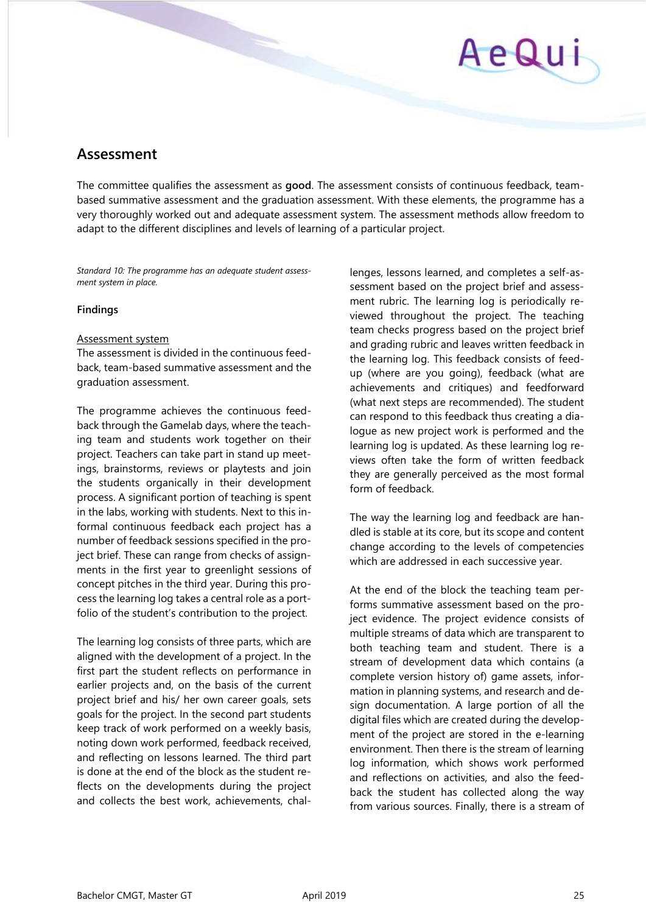# AeQui

# <span id="page-24-0"></span>**Assessment**

The committee qualifies the assessment as **good**. The assessment consists of continuous feedback, teambased summative assessment and the graduation assessment. With these elements, the programme has a very thoroughly worked out and adequate assessment system. The assessment methods allow freedom to adapt to the different disciplines and levels of learning of a particular project.

*Standard 10: The programme has an adequate student assessment system in place.* 

#### **Findings**

#### Assessment system

The assessment is divided in the continuous feedback, team-based summative assessment and the graduation assessment.

The programme achieves the continuous feedback through the Gamelab days, where the teaching team and students work together on their project. Teachers can take part in stand up meetings, brainstorms, reviews or playtests and join the students organically in their development process. A significant portion of teaching is spent in the labs, working with students. Next to this informal continuous feedback each project has a number of feedback sessions specified in the project brief. These can range from checks of assignments in the first year to greenlight sessions of concept pitches in the third year. During this process the learning log takes a central role as a portfolio of the student's contribution to the project.

The learning log consists of three parts, which are aligned with the development of a project. In the first part the student reflects on performance in earlier projects and, on the basis of the current project brief and his/ her own career goals, sets goals for the project. In the second part students keep track of work performed on a weekly basis, noting down work performed, feedback received, and reflecting on lessons learned. The third part is done at the end of the block as the student reflects on the developments during the project and collects the best work, achievements, challenges, lessons learned, and completes a self-assessment based on the project brief and assessment rubric. The learning log is periodically reviewed throughout the project. The teaching team checks progress based on the project brief and grading rubric and leaves written feedback in the learning log. This feedback consists of feedup (where are you going), feedback (what are achievements and critiques) and feedforward (what next steps are recommended). The student can respond to this feedback thus creating a dialogue as new project work is performed and the learning log is updated. As these learning log reviews often take the form of written feedback they are generally perceived as the most formal form of feedback.

The way the learning log and feedback are handled is stable at its core, but its scope and content change according to the levels of competencies which are addressed in each successive year.

At the end of the block the teaching team performs summative assessment based on the project evidence. The project evidence consists of multiple streams of data which are transparent to both teaching team and student. There is a stream of development data which contains (a complete version history of) game assets, information in planning systems, and research and design documentation. A large portion of all the digital files which are created during the development of the project are stored in the e-learning environment. Then there is the stream of learning log information, which shows work performed and reflections on activities, and also the feedback the student has collected along the way from various sources. Finally, there is a stream of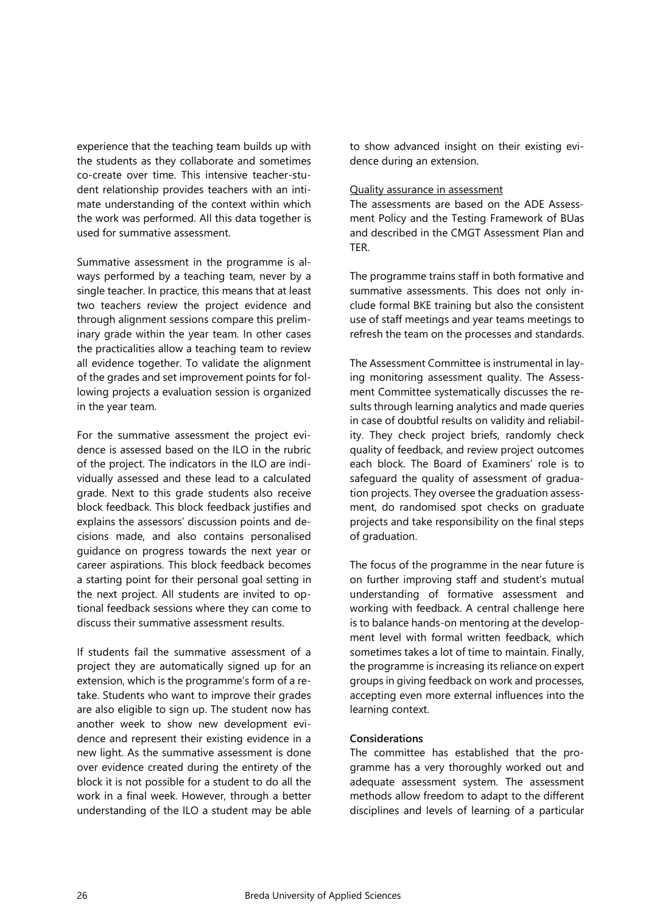experience that the teaching team builds up with the students as they collaborate and sometimes co-create over time. This intensive teacher-student relationship provides teachers with an intimate understanding of the context within which the work was performed. All this data together is used for summative assessment.

Summative assessment in the programme is always performed by a teaching team, never by a single teacher. In practice, this means that at least two teachers review the project evidence and through alignment sessions compare this preliminary grade within the year team. In other cases the practicalities allow a teaching team to review all evidence together. To validate the alignment of the grades and set improvement points for following projects a evaluation session is organized in the year team.

For the summative assessment the project evidence is assessed based on the ILO in the rubric of the project. The indicators in the ILO are individually assessed and these lead to a calculated grade. Next to this grade students also receive block feedback. This block feedback justifies and explains the assessors' discussion points and decisions made, and also contains personalised guidance on progress towards the next year or career aspirations. This block feedback becomes a starting point for their personal goal setting in the next project. All students are invited to optional feedback sessions where they can come to discuss their summative assessment results.

If students fail the summative assessment of a project they are automatically signed up for an extension, which is the programme's form of a retake. Students who want to improve their grades are also eligible to sign up. The student now has another week to show new development evidence and represent their existing evidence in a new light. As the summative assessment is done over evidence created during the entirety of the block it is not possible for a student to do all the work in a final week. However, through a better understanding of the ILO a student may be able

to show advanced insight on their existing evidence during an extension.

#### Quality assurance in assessment

The assessments are based on the ADE Assessment Policy and the Testing Framework of BUas and described in the CMGT Assessment Plan and TER.

The programme trains staff in both formative and summative assessments. This does not only include formal BKE training but also the consistent use of staff meetings and year teams meetings to refresh the team on the processes and standards.

The Assessment Committee is instrumental in laying monitoring assessment quality. The Assessment Committee systematically discusses the results through learning analytics and made queries in case of doubtful results on validity and reliability. They check project briefs, randomly check quality of feedback, and review project outcomes each block. The Board of Examiners' role is to safeguard the quality of assessment of graduation projects. They oversee the graduation assessment, do randomised spot checks on graduate projects and take responsibility on the final steps of graduation.

The focus of the programme in the near future is on further improving staff and student's mutual understanding of formative assessment and working with feedback. A central challenge here is to balance hands-on mentoring at the development level with formal written feedback, which sometimes takes a lot of time to maintain. Finally, the programme is increasing its reliance on expert groups in giving feedback on work and processes, accepting even more external influences into the learning context.

#### **Considerations**

The committee has established that the programme has a very thoroughly worked out and adequate assessment system. The assessment methods allow freedom to adapt to the different disciplines and levels of learning of a particular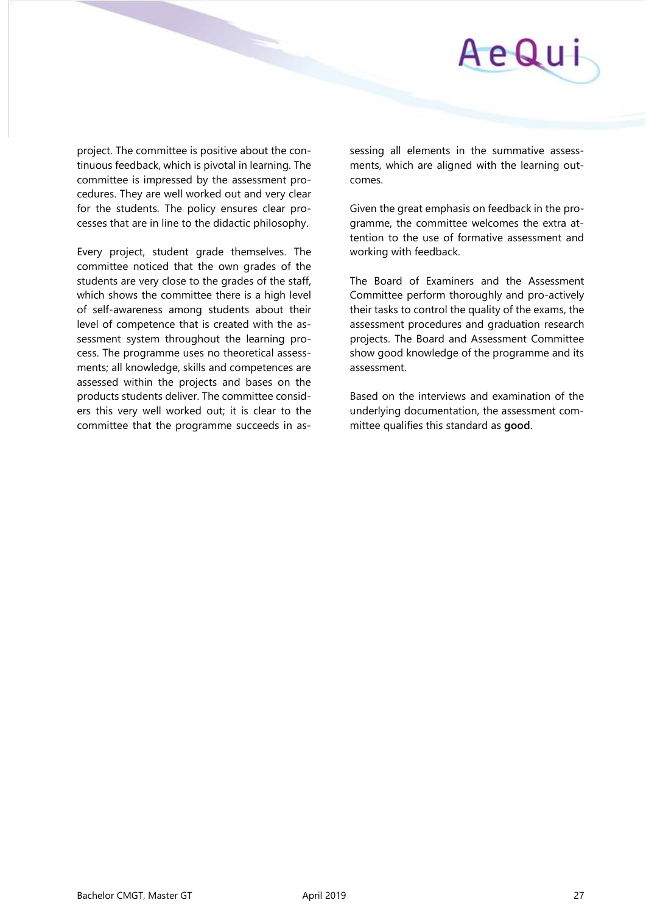

project. The committee is positive about the continuous feedback, which is pivotal in learning. The committee is impressed by the assessment procedures. They are well worked out and very clear for the students. The policy ensures clear processes that are in line to the didactic philosophy.

Every project, student grade themselves. The committee noticed that the own grades of the students are very close to the grades of the staff, which shows the committee there is a high level of self-awareness among students about their level of competence that is created with the assessment system throughout the learning process. The programme uses no theoretical assessments; all knowledge, skills and competences are assessed within the projects and bases on the products students deliver. The committee considers this very well worked out; it is clear to the committee that the programme succeeds in assessing all elements in the summative assessments, which are aligned with the learning outcomes.

Given the great emphasis on feedback in the programme, the committee welcomes the extra attention to the use of formative assessment and working with feedback.

The Board of Examiners and the Assessment Committee perform thoroughly and pro-actively their tasks to control the quality of the exams, the assessment procedures and graduation research projects. The Board and Assessment Committee show good knowledge of the programme and its assessment.

Based on the interviews and examination of the underlying documentation, the assessment committee qualifies this standard as **good**.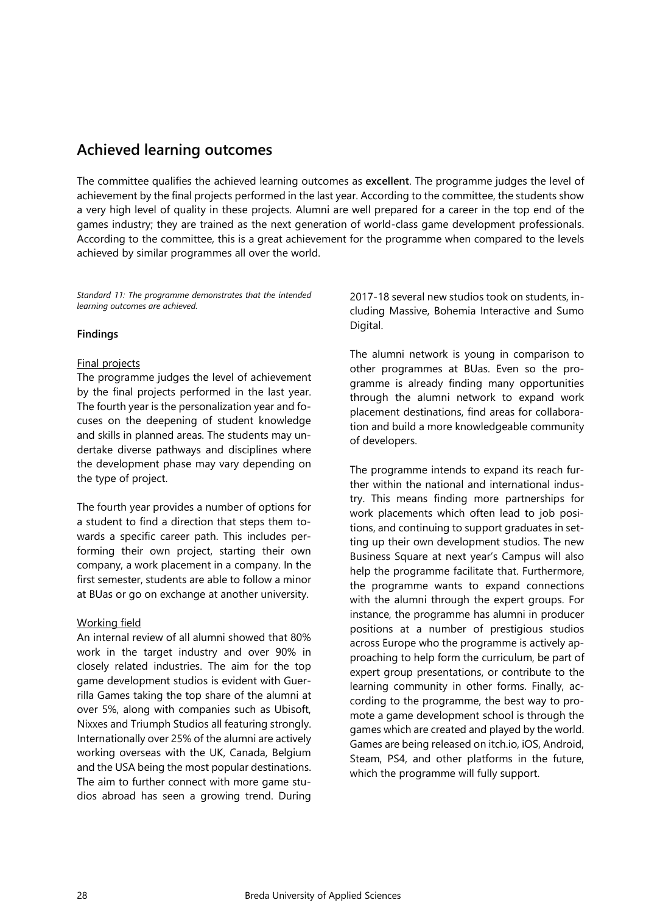# <span id="page-27-0"></span>**Achieved learning outcomes**

The committee qualifies the achieved learning outcomes as **excellent**. The programme judges the level of achievement by the final projects performed in the last year. According to the committee, the students show a very high level of quality in these projects. Alumni are well prepared for a career in the top end of the games industry; they are trained as the next generation of world-class game development professionals. According to the committee, this is a great achievement for the programme when compared to the levels achieved by similar programmes all over the world.

*Standard 11: The programme demonstrates that the intended learning outcomes are achieved.* 

#### **Findings**

#### Final projects

The programme judges the level of achievement by the final projects performed in the last year. The fourth year is the personalization year and focuses on the deepening of student knowledge and skills in planned areas. The students may undertake diverse pathways and disciplines where the development phase may vary depending on the type of project.

The fourth year provides a number of options for a student to find a direction that steps them towards a specific career path. This includes performing their own project, starting their own company, a work placement in a company. In the first semester, students are able to follow a minor at BUas or go on exchange at another university.

#### Working field

An internal review of all alumni showed that 80% work in the target industry and over 90% in closely related industries. The aim for the top game development studios is evident with Guerrilla Games taking the top share of the alumni at over 5%, along with companies such as Ubisoft, Nixxes and Triumph Studios all featuring strongly. Internationally over 25% of the alumni are actively working overseas with the UK, Canada, Belgium and the USA being the most popular destinations. The aim to further connect with more game studios abroad has seen a growing trend. During

2017-18 several new studios took on students, including Massive, Bohemia Interactive and Sumo Digital.

The alumni network is young in comparison to other programmes at BUas. Even so the programme is already finding many opportunities through the alumni network to expand work placement destinations, find areas for collaboration and build a more knowledgeable community of developers.

The programme intends to expand its reach further within the national and international industry. This means finding more partnerships for work placements which often lead to job positions, and continuing to support graduates in setting up their own development studios. The new Business Square at next year's Campus will also help the programme facilitate that. Furthermore, the programme wants to expand connections with the alumni through the expert groups. For instance, the programme has alumni in producer positions at a number of prestigious studios across Europe who the programme is actively approaching to help form the curriculum, be part of expert group presentations, or contribute to the learning community in other forms. Finally, according to the programme, the best way to promote a game development school is through the games which are created and played by the world. Games are being released on itch.io, iOS, Android, Steam, PS4, and other platforms in the future, which the programme will fully support.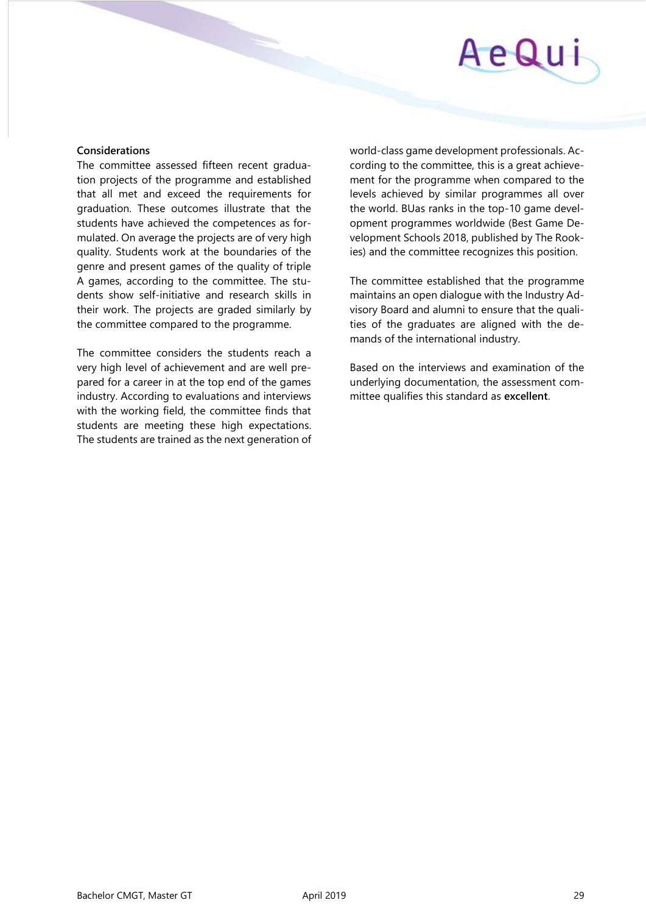# AeQu

#### **Considerations**

The committee assessed fifteen recent graduation projects of the programme and established that all met and exceed the requirements for graduation. These outcomes illustrate that the students have achieved the competences as formulated. On average the projects are of very high quality. Students work at the boundaries of the genre and present games of the quality of triple A games, according to the committee. The students show self-initiative and research skills in their work. The projects are graded similarly by the committee compared to the programme.

The committee considers the students reach a very high level of achievement and are well prepared for a career in at the top end of the games industry. According to evaluations and interviews with the working field, the committee finds that students are meeting these high expectations. The students are trained as the next generation of world-class game development professionals. According to the committee, this is a great achievement for the programme when compared to the levels achieved by similar programmes all over the world. BUas ranks in the top-10 game development programmes worldwide (Best Game Development Schools 2018, published by The Rookies) and the committee recognizes this position.

The committee established that the programme maintains an open dialogue with the Industry Advisory Board and alumni to ensure that the qualities of the graduates are aligned with the demands of the international industry.

Based on the interviews and examination of the underlying documentation, the assessment committee qualifies this standard as **excellent**.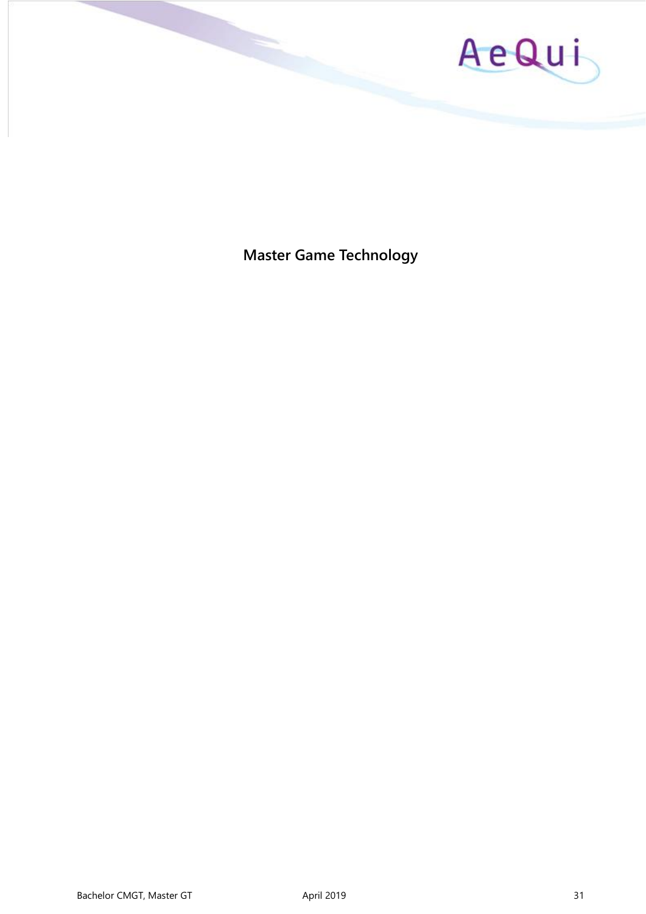

<span id="page-30-0"></span>**Master Game Technology**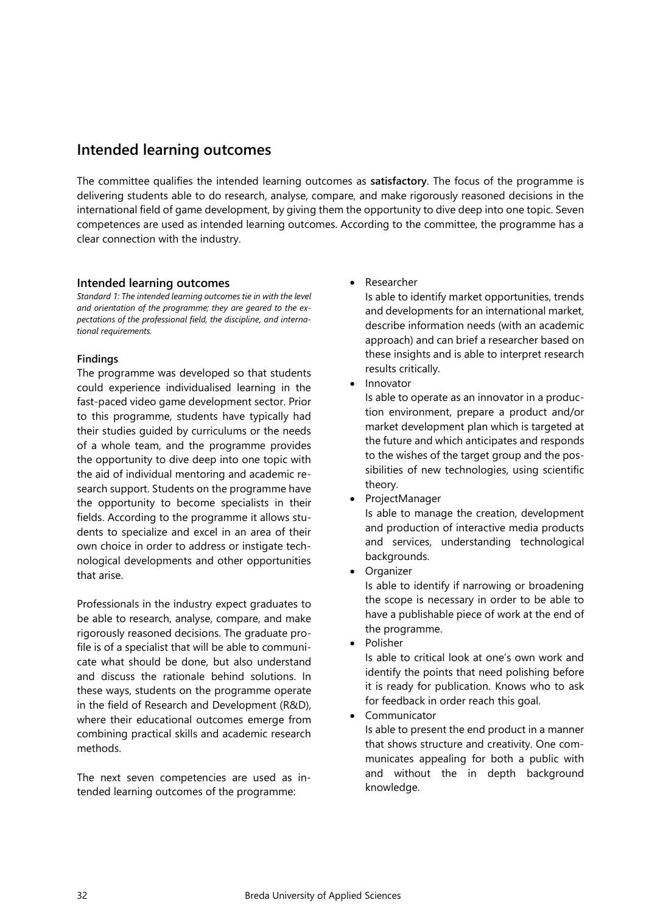# <span id="page-31-0"></span>**Intended learning outcomes**

The committee qualifies the intended learning outcomes as **satisfactory**. The focus of the programme is delivering students able to do research, analyse, compare, and make rigorously reasoned decisions in the international field of game development, by giving them the opportunity to dive deep into one topic. Seven competences are used as intended learning outcomes. According to the committee, the programme has a clear connection with the industry.

#### **Intended learning outcomes**

*Standard 1: The intended learning outcomes tie in with the level and orientation of the programme; they are geared to the expectations of the professional field, the discipline, and international requirements.*

#### **Findings**

The programme was developed so that students could experience individualised learning in the fast-paced video game development sector. Prior to this programme, students have typically had their studies guided by curriculums or the needs of a whole team, and the programme provides the opportunity to dive deep into one topic with the aid of individual mentoring and academic research support. Students on the programme have the opportunity to become specialists in their fields. According to the programme it allows students to specialize and excel in an area of their own choice in order to address or instigate technological developments and other opportunities that arise.

Professionals in the industry expect graduates to be able to research, analyse, compare, and make rigorously reasoned decisions. The graduate profile is of a specialist that will be able to communicate what should be done, but also understand and discuss the rationale behind solutions. In these ways, students on the programme operate in the field of Research and Development (R&D), where their educational outcomes emerge from combining practical skills and academic research methods.

The next seven competencies are used as intended learning outcomes of the programme:

• Researcher

Is able to identify market opportunities, trends and developments for an international market, describe information needs (with an academic approach) and can brief a researcher based on these insights and is able to interpret research results critically.

**Innovator** 

Is able to operate as an innovator in a production environment, prepare a product and/or market development plan which is targeted at the future and which anticipates and responds to the wishes of the target group and the possibilities of new technologies, using scientific theory.

- ProjectManager Is able to manage the creation, development and production of interactive media products and services, understanding technological backgrounds.
- **Organizer**

Is able to identify if narrowing or broadening the scope is necessary in order to be able to have a publishable piece of work at the end of the programme.

• Polisher

Is able to critical look at one's own work and identify the points that need polishing before it is ready for publication. Knows who to ask for feedback in order reach this goal.

• Communicator

Is able to present the end product in a manner that shows structure and creativity. One communicates appealing for both a public with and without the in depth background knowledge.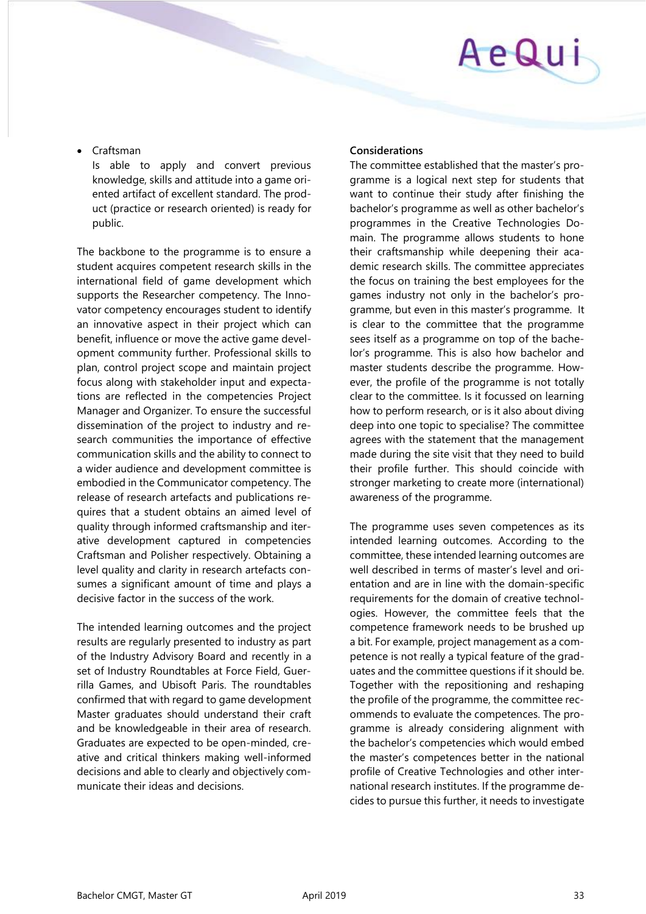# AeQui

• Craftsman

Is able to apply and convert previous knowledge, skills and attitude into a game oriented artifact of excellent standard. The product (practice or research oriented) is ready for public.

The backbone to the programme is to ensure a student acquires competent research skills in the international field of game development which supports the Researcher competency. The Innovator competency encourages student to identify an innovative aspect in their project which can benefit, influence or move the active game development community further. Professional skills to plan, control project scope and maintain project focus along with stakeholder input and expectations are reflected in the competencies Project Manager and Organizer. To ensure the successful dissemination of the project to industry and research communities the importance of effective communication skills and the ability to connect to a wider audience and development committee is embodied in the Communicator competency. The release of research artefacts and publications requires that a student obtains an aimed level of quality through informed craftsmanship and iterative development captured in competencies Craftsman and Polisher respectively. Obtaining a level quality and clarity in research artefacts consumes a significant amount of time and plays a decisive factor in the success of the work.

The intended learning outcomes and the project results are regularly presented to industry as part of the Industry Advisory Board and recently in a set of Industry Roundtables at Force Field, Guerrilla Games, and Ubisoft Paris. The roundtables confirmed that with regard to game development Master graduates should understand their craft and be knowledgeable in their area of research. Graduates are expected to be open-minded, creative and critical thinkers making well-informed decisions and able to clearly and objectively communicate their ideas and decisions.

### **Considerations**

The committee established that the master's programme is a logical next step for students that want to continue their study after finishing the bachelor's programme as well as other bachelor's programmes in the Creative Technologies Domain. The programme allows students to hone their craftsmanship while deepening their academic research skills. The committee appreciates the focus on training the best employees for the games industry not only in the bachelor's programme, but even in this master's programme. It is clear to the committee that the programme sees itself as a programme on top of the bachelor's programme. This is also how bachelor and master students describe the programme. However, the profile of the programme is not totally clear to the committee. Is it focussed on learning how to perform research, or is it also about diving deep into one topic to specialise? The committee agrees with the statement that the management made during the site visit that they need to build their profile further. This should coincide with stronger marketing to create more (international) awareness of the programme.

The programme uses seven competences as its intended learning outcomes. According to the committee, these intended learning outcomes are well described in terms of master's level and orientation and are in line with the domain-specific requirements for the domain of creative technologies. However, the committee feels that the competence framework needs to be brushed up a bit. For example, project management as a competence is not really a typical feature of the graduates and the committee questions if it should be. Together with the repositioning and reshaping the profile of the programme, the committee recommends to evaluate the competences. The programme is already considering alignment with the bachelor's competencies which would embed the master's competences better in the national profile of Creative Technologies and other international research institutes. If the programme decides to pursue this further, it needs to investigate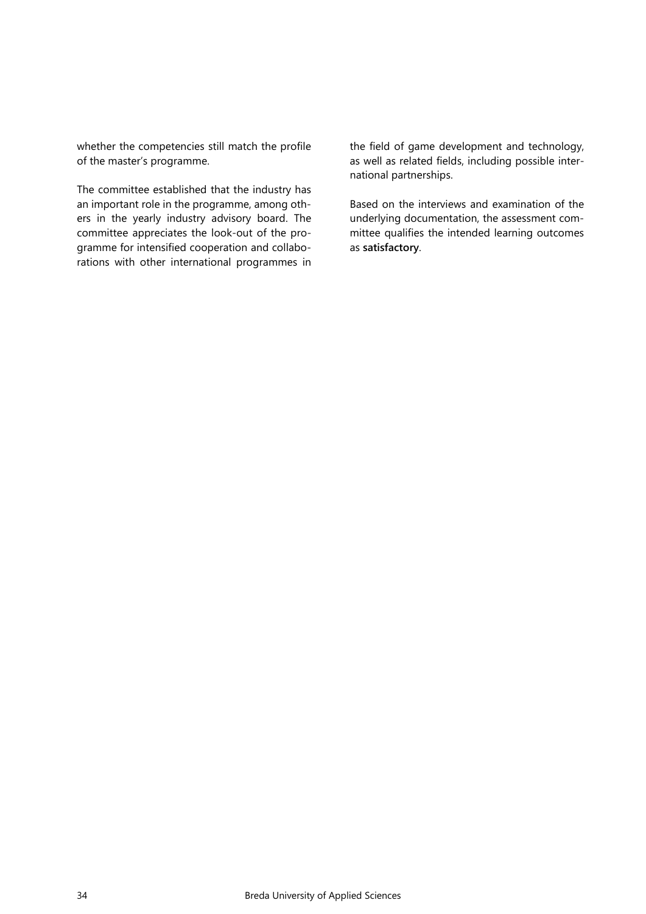whether the competencies still match the profile of the master's programme.

The committee established that the industry has an important role in the programme, among others in the yearly industry advisory board. The committee appreciates the look-out of the programme for intensified cooperation and collaborations with other international programmes in the field of game development and technology, as well as related fields, including possible international partnerships.

Based on the interviews and examination of the underlying documentation, the assessment committee qualifies the intended learning outcomes as **satisfactory**.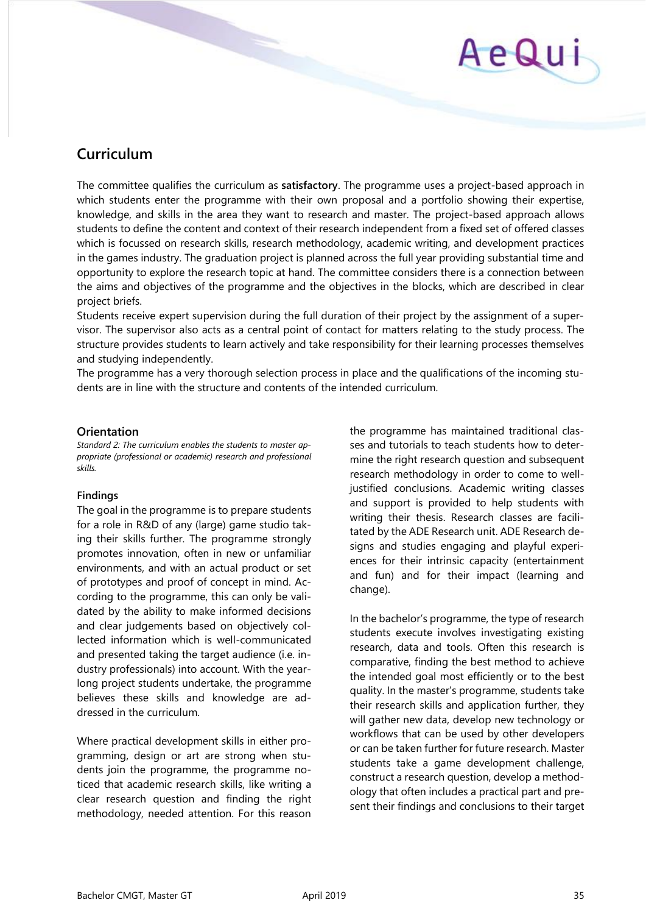# AeQui

# <span id="page-34-0"></span>**Curriculum**

The committee qualifies the curriculum as **satisfactory**. The programme uses a project-based approach in which students enter the programme with their own proposal and a portfolio showing their expertise, knowledge, and skills in the area they want to research and master. The project-based approach allows students to define the content and context of their research independent from a fixed set of offered classes which is focussed on research skills, research methodology, academic writing, and development practices in the games industry. The graduation project is planned across the full year providing substantial time and opportunity to explore the research topic at hand. The committee considers there is a connection between the aims and objectives of the programme and the objectives in the blocks, which are described in clear project briefs.

Students receive expert supervision during the full duration of their project by the assignment of a supervisor. The supervisor also acts as a central point of contact for matters relating to the study process. The structure provides students to learn actively and take responsibility for their learning processes themselves and studying independently.

The programme has a very thorough selection process in place and the qualifications of the incoming students are in line with the structure and contents of the intended curriculum.

#### **Orientation**

*Standard 2: The curriculum enables the students to master appropriate (professional or academic) research and professional skills.* 

#### **Findings**

The goal in the programme is to prepare students for a role in R&D of any (large) game studio taking their skills further. The programme strongly promotes innovation, often in new or unfamiliar environments, and with an actual product or set of prototypes and proof of concept in mind. According to the programme, this can only be validated by the ability to make informed decisions and clear judgements based on objectively collected information which is well-communicated and presented taking the target audience (i.e. industry professionals) into account. With the yearlong project students undertake, the programme believes these skills and knowledge are addressed in the curriculum.

Where practical development skills in either programming, design or art are strong when students join the programme, the programme noticed that academic research skills, like writing a clear research question and finding the right methodology, needed attention. For this reason

the programme has maintained traditional classes and tutorials to teach students how to determine the right research question and subsequent research methodology in order to come to welljustified conclusions. Academic writing classes and support is provided to help students with writing their thesis. Research classes are facilitated by the ADE Research unit. ADE Research designs and studies engaging and playful experiences for their intrinsic capacity (entertainment and fun) and for their impact (learning and change).

In the bachelor's programme, the type of research students execute involves investigating existing research, data and tools. Often this research is comparative, finding the best method to achieve the intended goal most efficiently or to the best quality. In the master's programme, students take their research skills and application further, they will gather new data, develop new technology or workflows that can be used by other developers or can be taken further for future research. Master students take a game development challenge, construct a research question, develop a methodology that often includes a practical part and present their findings and conclusions to their target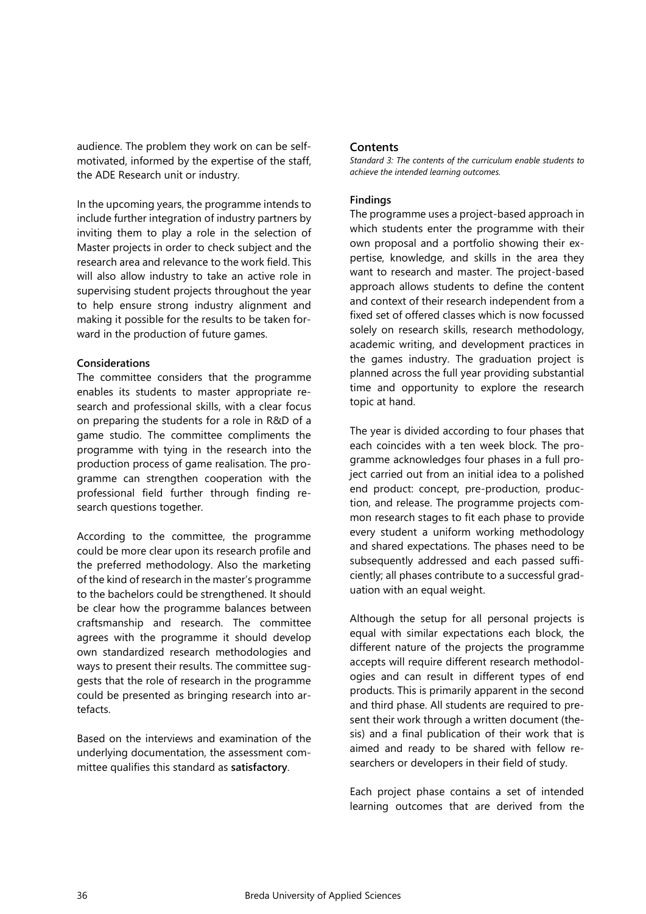audience. The problem they work on can be selfmotivated, informed by the expertise of the staff, the ADE Research unit or industry.

In the upcoming years, the programme intends to include further integration of industry partners by inviting them to play a role in the selection of Master projects in order to check subject and the research area and relevance to the work field. This will also allow industry to take an active role in supervising student projects throughout the year to help ensure strong industry alignment and making it possible for the results to be taken forward in the production of future games.

#### **Considerations**

The committee considers that the programme enables its students to master appropriate research and professional skills, with a clear focus on preparing the students for a role in R&D of a game studio. The committee compliments the programme with tying in the research into the production process of game realisation. The programme can strengthen cooperation with the professional field further through finding research questions together.

According to the committee, the programme could be more clear upon its research profile and the preferred methodology. Also the marketing of the kind of research in the master's programme to the bachelors could be strengthened. It should be clear how the programme balances between craftsmanship and research. The committee agrees with the programme it should develop own standardized research methodologies and ways to present their results. The committee suggests that the role of research in the programme could be presented as bringing research into artefacts.

Based on the interviews and examination of the underlying documentation, the assessment committee qualifies this standard as **satisfactory**.

#### **Contents**

*Standard 3: The contents of the curriculum enable students to achieve the intended learning outcomes.* 

#### **Findings**

The programme uses a project-based approach in which students enter the programme with their own proposal and a portfolio showing their expertise, knowledge, and skills in the area they want to research and master. The project-based approach allows students to define the content and context of their research independent from a fixed set of offered classes which is now focussed solely on research skills, research methodology, academic writing, and development practices in the games industry. The graduation project is planned across the full year providing substantial time and opportunity to explore the research topic at hand.

The year is divided according to four phases that each coincides with a ten week block. The programme acknowledges four phases in a full project carried out from an initial idea to a polished end product: concept, pre-production, production, and release. The programme projects common research stages to fit each phase to provide every student a uniform working methodology and shared expectations. The phases need to be subsequently addressed and each passed sufficiently; all phases contribute to a successful graduation with an equal weight.

Although the setup for all personal projects is equal with similar expectations each block, the different nature of the projects the programme accepts will require different research methodologies and can result in different types of end products. This is primarily apparent in the second and third phase. All students are required to present their work through a written document (thesis) and a final publication of their work that is aimed and ready to be shared with fellow researchers or developers in their field of study.

Each project phase contains a set of intended learning outcomes that are derived from the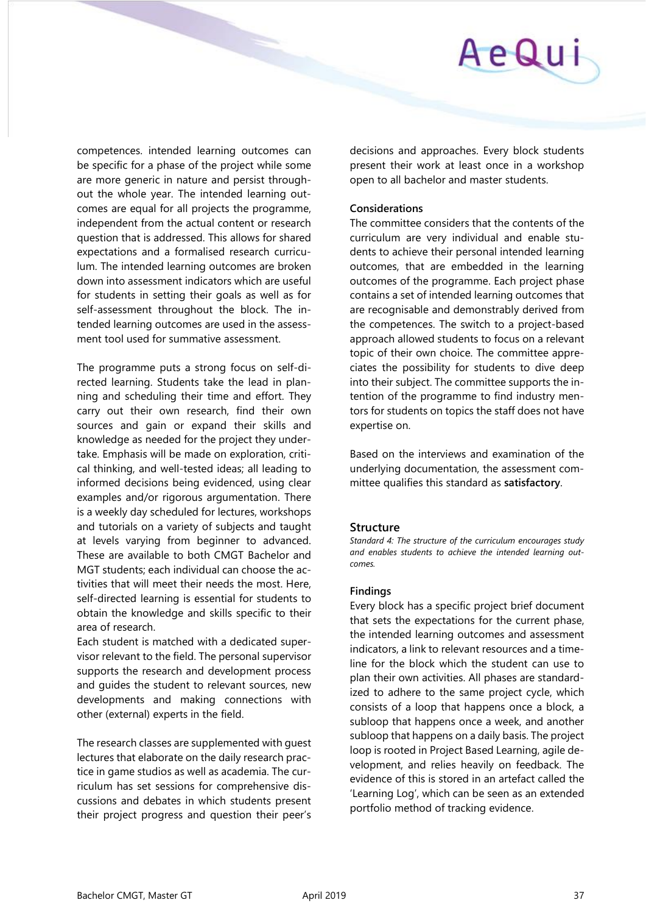

competences. intended learning outcomes can be specific for a phase of the project while some are more generic in nature and persist throughout the whole year. The intended learning outcomes are equal for all projects the programme, independent from the actual content or research question that is addressed. This allows for shared expectations and a formalised research curriculum. The intended learning outcomes are broken down into assessment indicators which are useful for students in setting their goals as well as for self-assessment throughout the block. The intended learning outcomes are used in the assessment tool used for summative assessment.

The programme puts a strong focus on self-directed learning. Students take the lead in planning and scheduling their time and effort. They carry out their own research, find their own sources and gain or expand their skills and knowledge as needed for the project they undertake. Emphasis will be made on exploration, critical thinking, and well-tested ideas; all leading to informed decisions being evidenced, using clear examples and/or rigorous argumentation. There is a weekly day scheduled for lectures, workshops and tutorials on a variety of subjects and taught at levels varying from beginner to advanced. These are available to both CMGT Bachelor and MGT students; each individual can choose the activities that will meet their needs the most. Here, self-directed learning is essential for students to obtain the knowledge and skills specific to their area of research.

Each student is matched with a dedicated supervisor relevant to the field. The personal supervisor supports the research and development process and guides the student to relevant sources, new developments and making connections with other (external) experts in the field.

The research classes are supplemented with guest lectures that elaborate on the daily research practice in game studios as well as academia. The curriculum has set sessions for comprehensive discussions and debates in which students present their project progress and question their peer's

decisions and approaches. Every block students present their work at least once in a workshop open to all bachelor and master students.

#### **Considerations**

The committee considers that the contents of the curriculum are very individual and enable students to achieve their personal intended learning outcomes, that are embedded in the learning outcomes of the programme. Each project phase contains a set of intended learning outcomes that are recognisable and demonstrably derived from the competences. The switch to a project-based approach allowed students to focus on a relevant topic of their own choice. The committee appreciates the possibility for students to dive deep into their subject. The committee supports the intention of the programme to find industry mentors for students on topics the staff does not have expertise on.

Based on the interviews and examination of the underlying documentation, the assessment committee qualifies this standard as **satisfactory**.

#### **Structure**

*Standard 4: The structure of the curriculum encourages study and enables students to achieve the intended learning outcomes.* 

#### **Findings**

Every block has a specific project brief document that sets the expectations for the current phase, the intended learning outcomes and assessment indicators, a link to relevant resources and a timeline for the block which the student can use to plan their own activities. All phases are standardized to adhere to the same project cycle, which consists of a loop that happens once a block, a subloop that happens once a week, and another subloop that happens on a daily basis. The project loop is rooted in Project Based Learning, agile development, and relies heavily on feedback. The evidence of this is stored in an artefact called the 'Learning Log', which can be seen as an extended portfolio method of tracking evidence.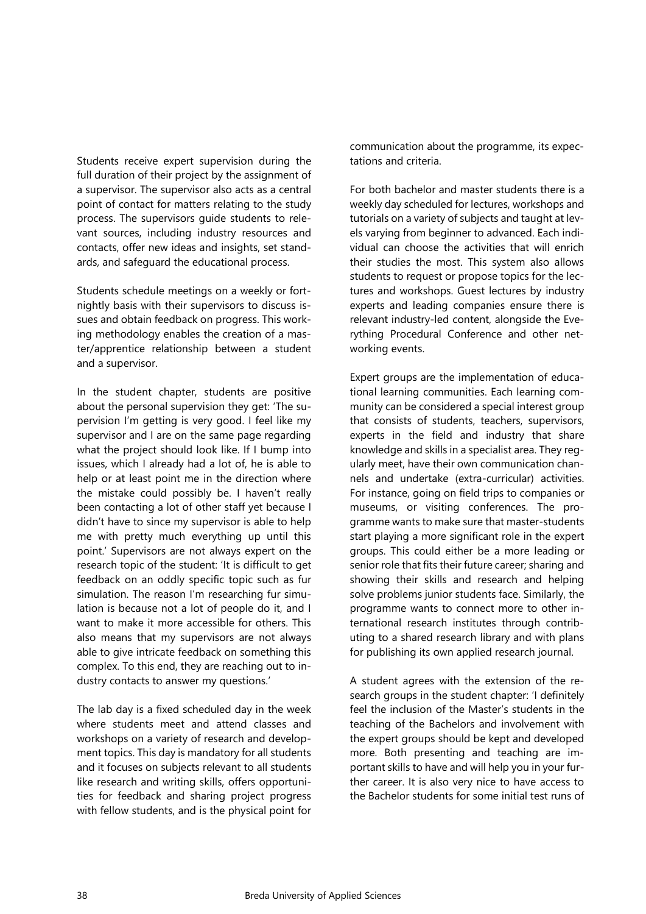Students receive expert supervision during the full duration of their project by the assignment of a supervisor. The supervisor also acts as a central point of contact for matters relating to the study process. The supervisors guide students to relevant sources, including industry resources and contacts, offer new ideas and insights, set standards, and safeguard the educational process.

Students schedule meetings on a weekly or fortnightly basis with their supervisors to discuss issues and obtain feedback on progress. This working methodology enables the creation of a master/apprentice relationship between a student and a supervisor.

In the student chapter, students are positive about the personal supervision they get: 'The supervision I'm getting is very good. I feel like my supervisor and I are on the same page regarding what the project should look like. If I bump into issues, which I already had a lot of, he is able to help or at least point me in the direction where the mistake could possibly be. I haven't really been contacting a lot of other staff yet because I didn't have to since my supervisor is able to help me with pretty much everything up until this point.' Supervisors are not always expert on the research topic of the student: 'It is difficult to get feedback on an oddly specific topic such as fur simulation. The reason I'm researching fur simulation is because not a lot of people do it, and I want to make it more accessible for others. This also means that my supervisors are not always able to give intricate feedback on something this complex. To this end, they are reaching out to industry contacts to answer my questions.'

The lab day is a fixed scheduled day in the week where students meet and attend classes and workshops on a variety of research and development topics. This day is mandatory for all students and it focuses on subjects relevant to all students like research and writing skills, offers opportunities for feedback and sharing project progress with fellow students, and is the physical point for

communication about the programme, its expectations and criteria.

For both bachelor and master students there is a weekly day scheduled for lectures, workshops and tutorials on a variety of subjects and taught at levels varying from beginner to advanced. Each individual can choose the activities that will enrich their studies the most. This system also allows students to request or propose topics for the lectures and workshops. Guest lectures by industry experts and leading companies ensure there is relevant industry-led content, alongside the Everything Procedural Conference and other networking events.

Expert groups are the implementation of educational learning communities. Each learning community can be considered a special interest group that consists of students, teachers, supervisors, experts in the field and industry that share knowledge and skills in a specialist area. They regularly meet, have their own communication channels and undertake (extra-curricular) activities. For instance, going on field trips to companies or museums, or visiting conferences. The programme wants to make sure that master-students start playing a more significant role in the expert groups. This could either be a more leading or senior role that fits their future career; sharing and showing their skills and research and helping solve problems junior students face. Similarly, the programme wants to connect more to other international research institutes through contributing to a shared research library and with plans for publishing its own applied research journal.

A student agrees with the extension of the research groups in the student chapter: 'I definitely feel the inclusion of the Master's students in the teaching of the Bachelors and involvement with the expert groups should be kept and developed more. Both presenting and teaching are important skills to have and will help you in your further career. It is also very nice to have access to the Bachelor students for some initial test runs of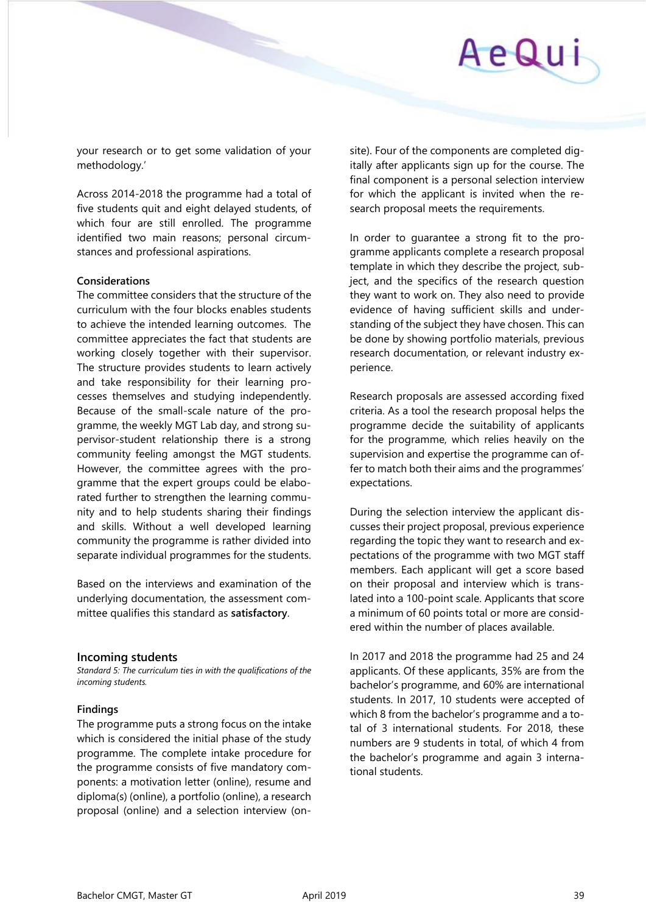# AeQui

your research or to get some validation of your methodology.'

Across 2014-2018 the programme had a total of five students quit and eight delayed students, of which four are still enrolled. The programme identified two main reasons; personal circumstances and professional aspirations.

### **Considerations**

The committee considers that the structure of the curriculum with the four blocks enables students to achieve the intended learning outcomes. The committee appreciates the fact that students are working closely together with their supervisor. The structure provides students to learn actively and take responsibility for their learning processes themselves and studying independently. Because of the small-scale nature of the programme, the weekly MGT Lab day, and strong supervisor-student relationship there is a strong community feeling amongst the MGT students. However, the committee agrees with the programme that the expert groups could be elaborated further to strengthen the learning community and to help students sharing their findings and skills. Without a well developed learning community the programme is rather divided into separate individual programmes for the students.

Based on the interviews and examination of the underlying documentation, the assessment committee qualifies this standard as **satisfactory**.

### **Incoming students**

*Standard 5: The curriculum ties in with the qualifications of the incoming students.* 

### **Findings**

The programme puts a strong focus on the intake which is considered the initial phase of the study programme. The complete intake procedure for the programme consists of five mandatory components: a motivation letter (online), resume and diploma(s) (online), a portfolio (online), a research proposal (online) and a selection interview (onsite). Four of the components are completed digitally after applicants sign up for the course. The final component is a personal selection interview for which the applicant is invited when the research proposal meets the requirements.

In order to guarantee a strong fit to the programme applicants complete a research proposal template in which they describe the project, subject, and the specifics of the research question they want to work on. They also need to provide evidence of having sufficient skills and understanding of the subject they have chosen. This can be done by showing portfolio materials, previous research documentation, or relevant industry experience.

Research proposals are assessed according fixed criteria. As a tool the research proposal helps the programme decide the suitability of applicants for the programme, which relies heavily on the supervision and expertise the programme can offer to match both their aims and the programmes' expectations.

During the selection interview the applicant discusses their project proposal, previous experience regarding the topic they want to research and expectations of the programme with two MGT staff members. Each applicant will get a score based on their proposal and interview which is translated into a 100-point scale. Applicants that score a minimum of 60 points total or more are considered within the number of places available.

In 2017 and 2018 the programme had 25 and 24 applicants. Of these applicants, 35% are from the bachelor's programme, and 60% are international students. In 2017, 10 students were accepted of which 8 from the bachelor's programme and a total of 3 international students. For 2018, these numbers are 9 students in total, of which 4 from the bachelor's programme and again 3 international students.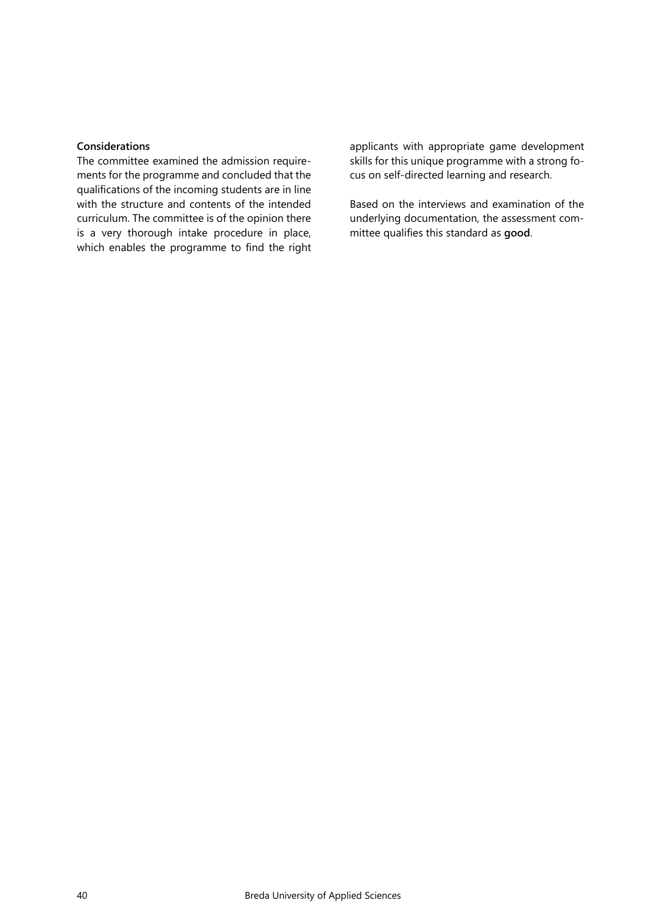#### **Considerations**

The committee examined the admission requirements for the programme and concluded that the qualifications of the incoming students are in line with the structure and contents of the intended curriculum. The committee is of the opinion there is a very thorough intake procedure in place, which enables the programme to find the right

applicants with appropriate game development skills for this unique programme with a strong focus on self-directed learning and research.

Based on the interviews and examination of the underlying documentation, the assessment committee qualifies this standard as **good**.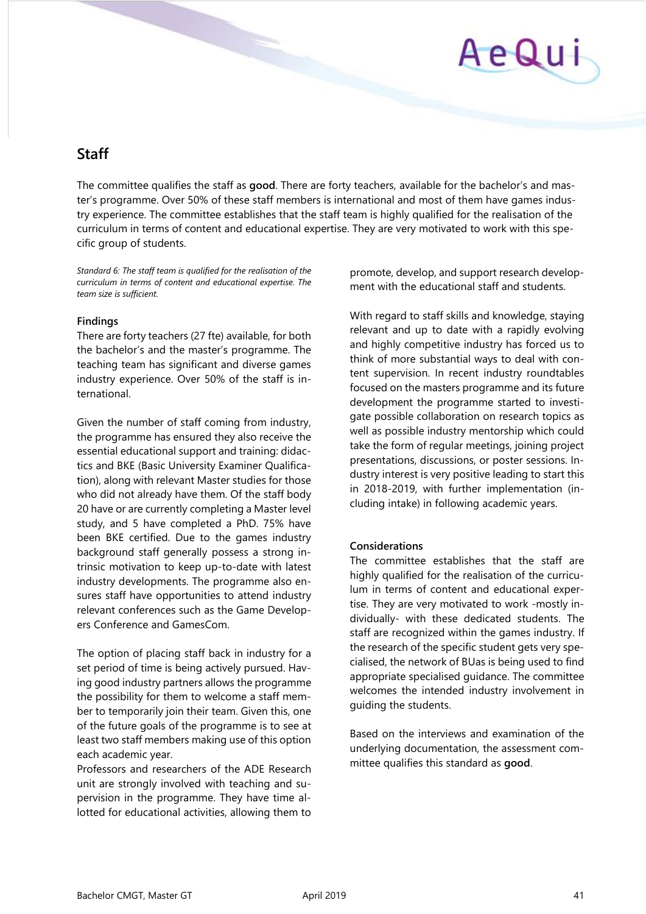# AeQui

# <span id="page-40-0"></span>**Staff**

The committee qualifies the staff as **good**. There are forty teachers, available for the bachelor's and master's programme. Over 50% of these staff members is international and most of them have games industry experience. The committee establishes that the staff team is highly qualified for the realisation of the curriculum in terms of content and educational expertise. They are very motivated to work with this specific group of students.

*Standard 6: The staff team is qualified for the realisation of the curriculum in terms of content and educational expertise. The team size is sufficient.*

#### **Findings**

There are forty teachers (27 fte) available, for both the bachelor's and the master's programme. The teaching team has significant and diverse games industry experience. Over 50% of the staff is international.

Given the number of staff coming from industry, the programme has ensured they also receive the essential educational support and training: didactics and BKE (Basic University Examiner Qualification), along with relevant Master studies for those who did not already have them. Of the staff body 20 have or are currently completing a Master level study, and 5 have completed a PhD. 75% have been BKE certified. Due to the games industry background staff generally possess a strong intrinsic motivation to keep up-to-date with latest industry developments. The programme also ensures staff have opportunities to attend industry relevant conferences such as the Game Developers Conference and GamesCom.

The option of placing staff back in industry for a set period of time is being actively pursued. Having good industry partners allows the programme the possibility for them to welcome a staff member to temporarily join their team. Given this, one of the future goals of the programme is to see at least two staff members making use of this option each academic year.

Professors and researchers of the ADE Research unit are strongly involved with teaching and supervision in the programme. They have time allotted for educational activities, allowing them to

promote, develop, and support research development with the educational staff and students.

With regard to staff skills and knowledge, staying relevant and up to date with a rapidly evolving and highly competitive industry has forced us to think of more substantial ways to deal with content supervision. In recent industry roundtables focused on the masters programme and its future development the programme started to investigate possible collaboration on research topics as well as possible industry mentorship which could take the form of regular meetings, joining project presentations, discussions, or poster sessions. Industry interest is very positive leading to start this in 2018-2019, with further implementation (including intake) in following academic years.

### **Considerations**

The committee establishes that the staff are highly qualified for the realisation of the curriculum in terms of content and educational expertise. They are very motivated to work -mostly individually- with these dedicated students. The staff are recognized within the games industry. If the research of the specific student gets very specialised, the network of BUas is being used to find appropriate specialised guidance. The committee welcomes the intended industry involvement in guiding the students.

Based on the interviews and examination of the underlying documentation, the assessment committee qualifies this standard as **good**.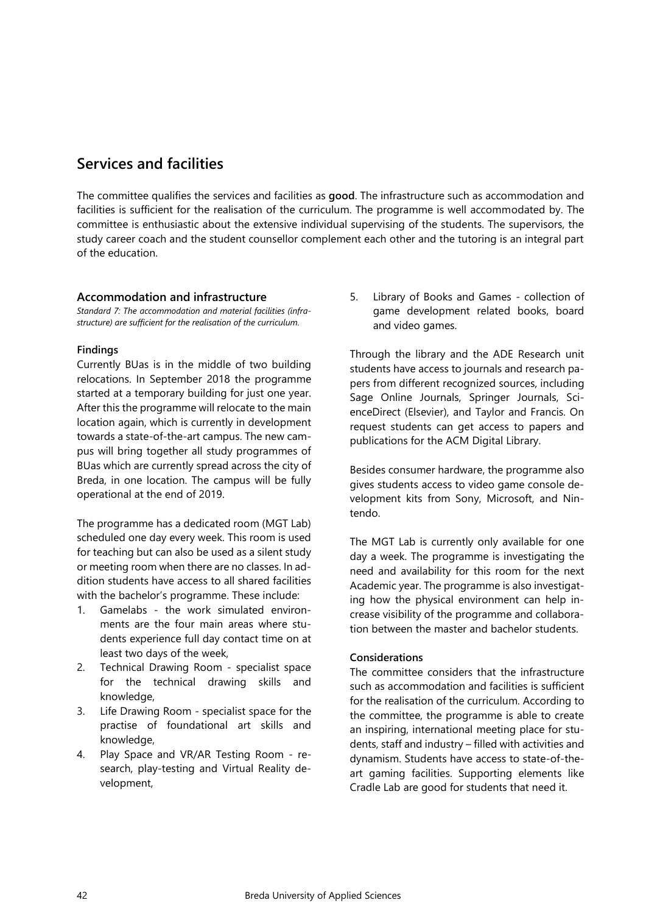# <span id="page-41-0"></span>**Services and facilities**

The committee qualifies the services and facilities as **good**. The infrastructure such as accommodation and facilities is sufficient for the realisation of the curriculum. The programme is well accommodated by. The committee is enthusiastic about the extensive individual supervising of the students. The supervisors, the study career coach and the student counsellor complement each other and the tutoring is an integral part of the education.

#### **Accommodation and infrastructure**

*Standard 7: The accommodation and material facilities (infrastructure) are sufficient for the realisation of the curriculum.* 

#### **Findings**

Currently BUas is in the middle of two building relocations. In September 2018 the programme started at a temporary building for just one year. After this the programme will relocate to the main location again, which is currently in development towards a state-of-the-art campus. The new campus will bring together all study programmes of BUas which are currently spread across the city of Breda, in one location. The campus will be fully operational at the end of 2019.

The programme has a dedicated room (MGT Lab) scheduled one day every week. This room is used for teaching but can also be used as a silent study or meeting room when there are no classes. In addition students have access to all shared facilities with the bachelor's programme. These include:

- 1. Gamelabs the work simulated environments are the four main areas where students experience full day contact time on at least two days of the week,
- 2. Technical Drawing Room specialist space for the technical drawing skills and knowledge,
- 3. Life Drawing Room specialist space for the practise of foundational art skills and knowledge,
- 4. Play Space and VR/AR Testing Room research, play-testing and Virtual Reality development,

5. Library of Books and Games - collection of game development related books, board and video games.

Through the library and the ADE Research unit students have access to journals and research papers from different recognized sources, including Sage Online Journals, Springer Journals, ScienceDirect (Elsevier), and Taylor and Francis. On request students can get access to papers and publications for the ACM Digital Library.

Besides consumer hardware, the programme also gives students access to video game console development kits from Sony, Microsoft, and Nintendo.

The MGT Lab is currently only available for one day a week. The programme is investigating the need and availability for this room for the next Academic year. The programme is also investigating how the physical environment can help increase visibility of the programme and collaboration between the master and bachelor students.

### **Considerations**

The committee considers that the infrastructure such as accommodation and facilities is sufficient for the realisation of the curriculum. According to the committee, the programme is able to create an inspiring, international meeting place for students, staff and industry – filled with activities and dynamism. Students have access to state-of-theart gaming facilities. Supporting elements like Cradle Lab are good for students that need it.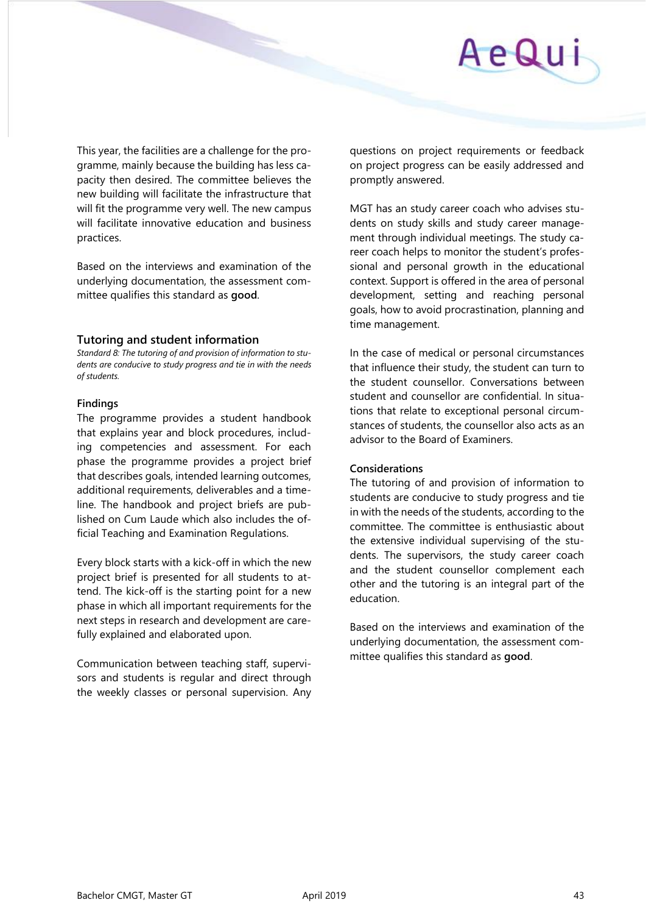

This year, the facilities are a challenge for the programme, mainly because the building has less capacity then desired. The committee believes the new building will facilitate the infrastructure that will fit the programme very well. The new campus will facilitate innovative education and business practices.

Based on the interviews and examination of the underlying documentation, the assessment committee qualifies this standard as **good**.

#### **Tutoring and student information**

*Standard 8: The tutoring of and provision of information to students are conducive to study progress and tie in with the needs of students.* 

#### **Findings**

The programme provides a student handbook that explains year and block procedures, including competencies and assessment. For each phase the programme provides a project brief that describes goals, intended learning outcomes, additional requirements, deliverables and a timeline. The handbook and project briefs are published on Cum Laude which also includes the official Teaching and Examination Regulations.

Every block starts with a kick-off in which the new project brief is presented for all students to attend. The kick-off is the starting point for a new phase in which all important requirements for the next steps in research and development are carefully explained and elaborated upon.

Communication between teaching staff, supervisors and students is regular and direct through the weekly classes or personal supervision. Any questions on project requirements or feedback on project progress can be easily addressed and promptly answered.

MGT has an study career coach who advises students on study skills and study career management through individual meetings. The study career coach helps to monitor the student's professional and personal growth in the educational context. Support is offered in the area of personal development, setting and reaching personal goals, how to avoid procrastination, planning and time management.

In the case of medical or personal circumstances that influence their study, the student can turn to the student counsellor. Conversations between student and counsellor are confidential. In situations that relate to exceptional personal circumstances of students, the counsellor also acts as an advisor to the Board of Examiners.

#### **Considerations**

The tutoring of and provision of information to students are conducive to study progress and tie in with the needs of the students, according to the committee. The committee is enthusiastic about the extensive individual supervising of the students. The supervisors, the study career coach and the student counsellor complement each other and the tutoring is an integral part of the education.

Based on the interviews and examination of the underlying documentation, the assessment committee qualifies this standard as **good**.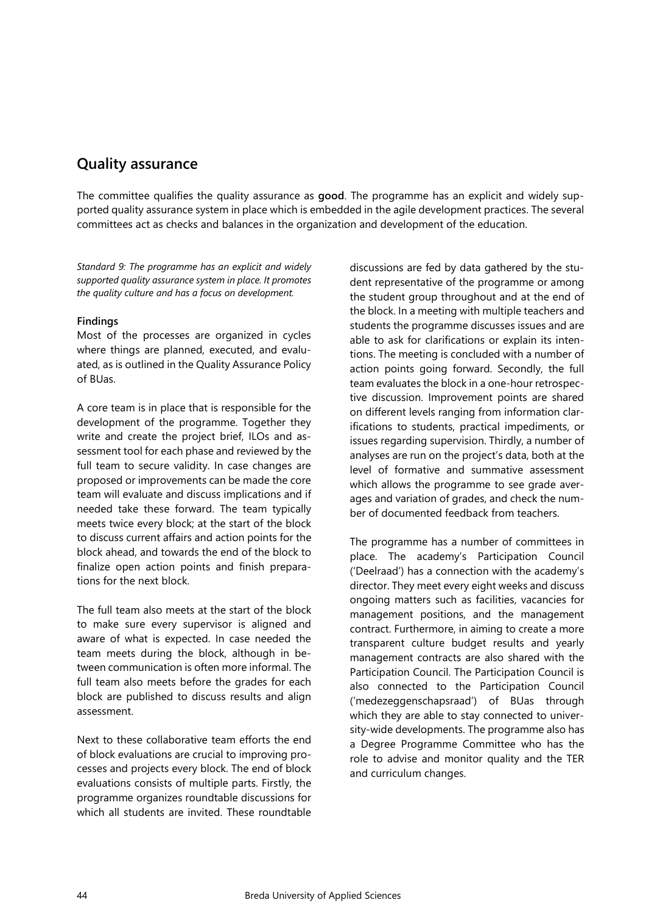# <span id="page-43-0"></span>**Quality assurance**

The committee qualifies the quality assurance as **good**. The programme has an explicit and widely supported quality assurance system in place which is embedded in the agile development practices. The several committees act as checks and balances in the organization and development of the education.

*Standard 9: The programme has an explicit and widely supported quality assurance system in place. It promotes the quality culture and has a focus on development.*

#### **Findings**

Most of the processes are organized in cycles where things are planned, executed, and evaluated, as is outlined in the Quality Assurance Policy of BUas.

A core team is in place that is responsible for the development of the programme. Together they write and create the project brief, ILOs and assessment tool for each phase and reviewed by the full team to secure validity. In case changes are proposed or improvements can be made the core team will evaluate and discuss implications and if needed take these forward. The team typically meets twice every block; at the start of the block to discuss current affairs and action points for the block ahead, and towards the end of the block to finalize open action points and finish preparations for the next block.

The full team also meets at the start of the block to make sure every supervisor is aligned and aware of what is expected. In case needed the team meets during the block, although in between communication is often more informal. The full team also meets before the grades for each block are published to discuss results and align assessment.

Next to these collaborative team efforts the end of block evaluations are crucial to improving processes and projects every block. The end of block evaluations consists of multiple parts. Firstly, the programme organizes roundtable discussions for which all students are invited. These roundtable

discussions are fed by data gathered by the student representative of the programme or among the student group throughout and at the end of the block. In a meeting with multiple teachers and students the programme discusses issues and are able to ask for clarifications or explain its intentions. The meeting is concluded with a number of action points going forward. Secondly, the full team evaluates the block in a one-hour retrospective discussion. Improvement points are shared on different levels ranging from information clarifications to students, practical impediments, or issues regarding supervision. Thirdly, a number of analyses are run on the project's data, both at the level of formative and summative assessment which allows the programme to see grade averages and variation of grades, and check the number of documented feedback from teachers.

The programme has a number of committees in place. The academy's Participation Council ('Deelraad') has a connection with the academy's director. They meet every eight weeks and discuss ongoing matters such as facilities, vacancies for management positions, and the management contract. Furthermore, in aiming to create a more transparent culture budget results and yearly management contracts are also shared with the Participation Council. The Participation Council is also connected to the Participation Council ('medezeggenschapsraad') of BUas through which they are able to stay connected to university-wide developments. The programme also has a Degree Programme Committee who has the role to advise and monitor quality and the TER and curriculum changes.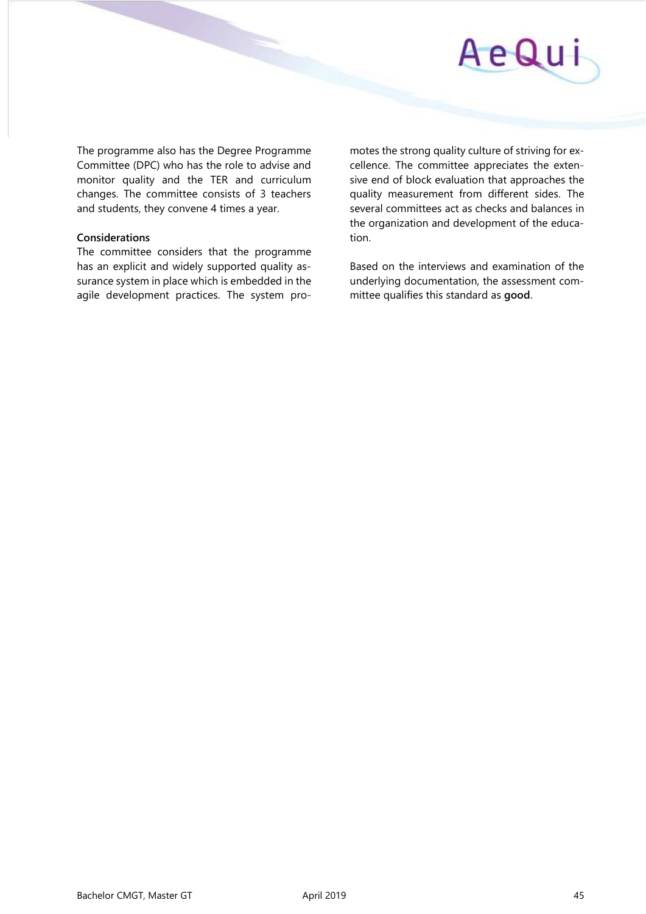

The programme also has the Degree Programme Committee (DPC) who has the role to advise and monitor quality and the TER and curriculum changes. The committee consists of 3 teachers and students, they convene 4 times a year.

#### **Considerations**

The committee considers that the programme has an explicit and widely supported quality assurance system in place which is embedded in the agile development practices. The system pro-

motes the strong quality culture of striving for excellence. The committee appreciates the extensive end of block evaluation that approaches the quality measurement from different sides. The several committees act as checks and balances in the organization and development of the education.

Based on the interviews and examination of the underlying documentation, the assessment committee qualifies this standard as **good**.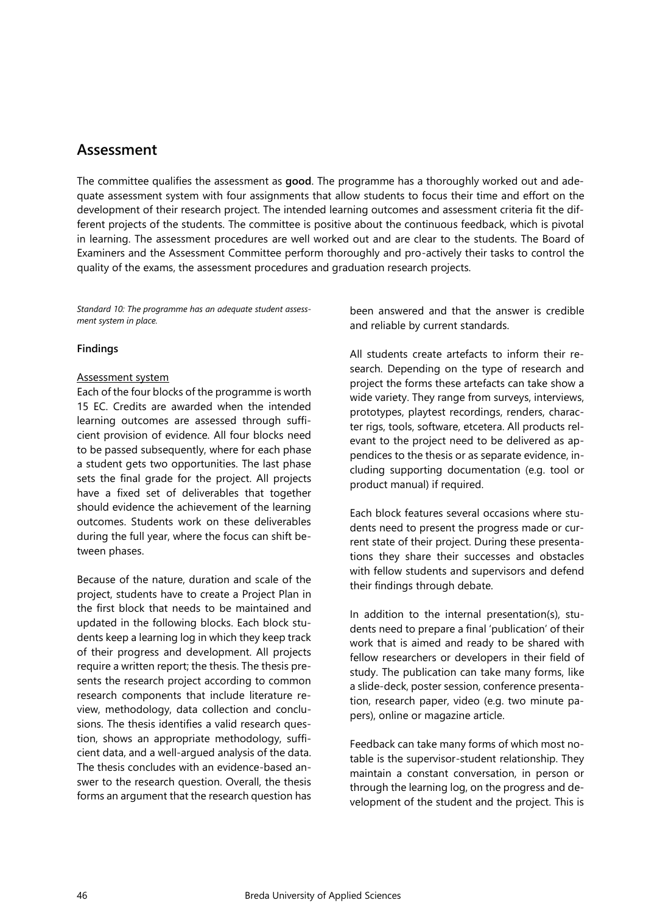### <span id="page-45-0"></span>**Assessment**

The committee qualifies the assessment as **good**. The programme has a thoroughly worked out and adequate assessment system with four assignments that allow students to focus their time and effort on the development of their research project. The intended learning outcomes and assessment criteria fit the different projects of the students. The committee is positive about the continuous feedback, which is pivotal in learning. The assessment procedures are well worked out and are clear to the students. The Board of Examiners and the Assessment Committee perform thoroughly and pro-actively their tasks to control the quality of the exams, the assessment procedures and graduation research projects.

*Standard 10: The programme has an adequate student assessment system in place.* 

#### **Findings**

#### Assessment system

Each of the four blocks of the programme is worth 15 EC. Credits are awarded when the intended learning outcomes are assessed through sufficient provision of evidence. All four blocks need to be passed subsequently, where for each phase a student gets two opportunities. The last phase sets the final grade for the project. All projects have a fixed set of deliverables that together should evidence the achievement of the learning outcomes. Students work on these deliverables during the full year, where the focus can shift between phases.

Because of the nature, duration and scale of the project, students have to create a Project Plan in the first block that needs to be maintained and updated in the following blocks. Each block students keep a learning log in which they keep track of their progress and development. All projects require a written report; the thesis. The thesis presents the research project according to common research components that include literature review, methodology, data collection and conclusions. The thesis identifies a valid research question, shows an appropriate methodology, sufficient data, and a well-argued analysis of the data. The thesis concludes with an evidence-based answer to the research question. Overall, the thesis forms an argument that the research question has

been answered and that the answer is credible and reliable by current standards.

All students create artefacts to inform their research. Depending on the type of research and project the forms these artefacts can take show a wide variety. They range from surveys, interviews, prototypes, playtest recordings, renders, character rigs, tools, software, etcetera. All products relevant to the project need to be delivered as appendices to the thesis or as separate evidence, including supporting documentation (e.g. tool or product manual) if required.

Each block features several occasions where students need to present the progress made or current state of their project. During these presentations they share their successes and obstacles with fellow students and supervisors and defend their findings through debate.

In addition to the internal presentation(s), students need to prepare a final 'publication' of their work that is aimed and ready to be shared with fellow researchers or developers in their field of study. The publication can take many forms, like a slide-deck, poster session, conference presentation, research paper, video (e.g. two minute papers), online or magazine article.

Feedback can take many forms of which most notable is the supervisor-student relationship. They maintain a constant conversation, in person or through the learning log, on the progress and development of the student and the project. This is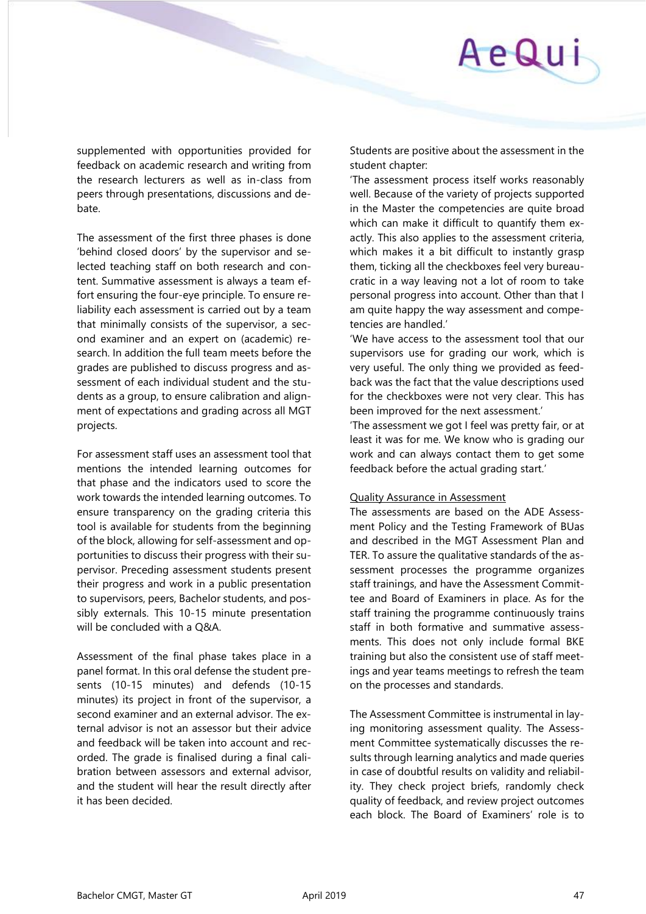# AeQui

supplemented with opportunities provided for feedback on academic research and writing from the research lecturers as well as in-class from peers through presentations, discussions and debate.

The assessment of the first three phases is done 'behind closed doors' by the supervisor and selected teaching staff on both research and content. Summative assessment is always a team effort ensuring the four-eye principle. To ensure reliability each assessment is carried out by a team that minimally consists of the supervisor, a second examiner and an expert on (academic) research. In addition the full team meets before the grades are published to discuss progress and assessment of each individual student and the students as a group, to ensure calibration and alignment of expectations and grading across all MGT projects.

For assessment staff uses an assessment tool that mentions the intended learning outcomes for that phase and the indicators used to score the work towards the intended learning outcomes. To ensure transparency on the grading criteria this tool is available for students from the beginning of the block, allowing for self-assessment and opportunities to discuss their progress with their supervisor. Preceding assessment students present their progress and work in a public presentation to supervisors, peers, Bachelor students, and possibly externals. This 10-15 minute presentation will be concluded with a Q&A.

Assessment of the final phase takes place in a panel format. In this oral defense the student presents (10-15 minutes) and defends (10-15 minutes) its project in front of the supervisor, a second examiner and an external advisor. The external advisor is not an assessor but their advice and feedback will be taken into account and recorded. The grade is finalised during a final calibration between assessors and external advisor, and the student will hear the result directly after it has been decided.

Students are positive about the assessment in the student chapter:

'The assessment process itself works reasonably well. Because of the variety of projects supported in the Master the competencies are quite broad which can make it difficult to quantify them exactly. This also applies to the assessment criteria, which makes it a bit difficult to instantly grasp them, ticking all the checkboxes feel very bureaucratic in a way leaving not a lot of room to take personal progress into account. Other than that I am quite happy the way assessment and competencies are handled.'

'We have access to the assessment tool that our supervisors use for grading our work, which is very useful. The only thing we provided as feedback was the fact that the value descriptions used for the checkboxes were not very clear. This has been improved for the next assessment.'

'The assessment we got I feel was pretty fair, or at least it was for me. We know who is grading our work and can always contact them to get some feedback before the actual grading start.'

#### Quality Assurance in Assessment

The assessments are based on the ADE Assessment Policy and the Testing Framework of BUas and described in the MGT Assessment Plan and TER. To assure the qualitative standards of the assessment processes the programme organizes staff trainings, and have the Assessment Committee and Board of Examiners in place. As for the staff training the programme continuously trains staff in both formative and summative assessments. This does not only include formal BKE training but also the consistent use of staff meetings and year teams meetings to refresh the team on the processes and standards.

The Assessment Committee is instrumental in laying monitoring assessment quality. The Assessment Committee systematically discusses the results through learning analytics and made queries in case of doubtful results on validity and reliability. They check project briefs, randomly check quality of feedback, and review project outcomes each block. The Board of Examiners' role is to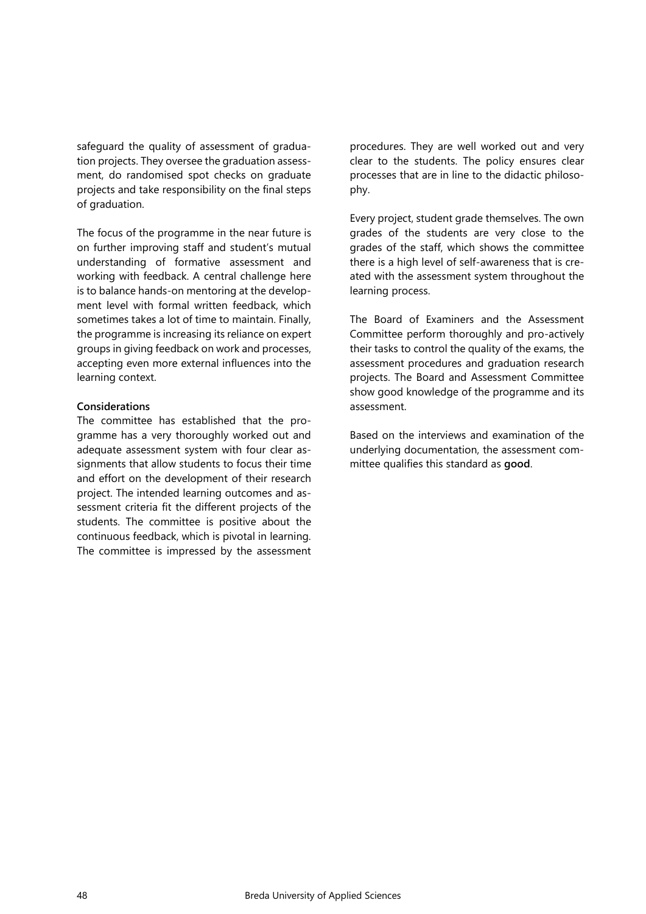safeguard the quality of assessment of graduation projects. They oversee the graduation assessment, do randomised spot checks on graduate projects and take responsibility on the final steps of graduation.

The focus of the programme in the near future is on further improving staff and student's mutual understanding of formative assessment and working with feedback. A central challenge here is to balance hands-on mentoring at the development level with formal written feedback, which sometimes takes a lot of time to maintain. Finally, the programme is increasing its reliance on expert groups in giving feedback on work and processes, accepting even more external influences into the learning context.

#### **Considerations**

The committee has established that the programme has a very thoroughly worked out and adequate assessment system with four clear assignments that allow students to focus their time and effort on the development of their research project. The intended learning outcomes and assessment criteria fit the different projects of the students. The committee is positive about the continuous feedback, which is pivotal in learning. The committee is impressed by the assessment

procedures. They are well worked out and very clear to the students. The policy ensures clear processes that are in line to the didactic philosophy.

Every project, student grade themselves. The own grades of the students are very close to the grades of the staff, which shows the committee there is a high level of self-awareness that is created with the assessment system throughout the learning process.

The Board of Examiners and the Assessment Committee perform thoroughly and pro-actively their tasks to control the quality of the exams, the assessment procedures and graduation research projects. The Board and Assessment Committee show good knowledge of the programme and its assessment.

Based on the interviews and examination of the underlying documentation, the assessment committee qualifies this standard as **good**.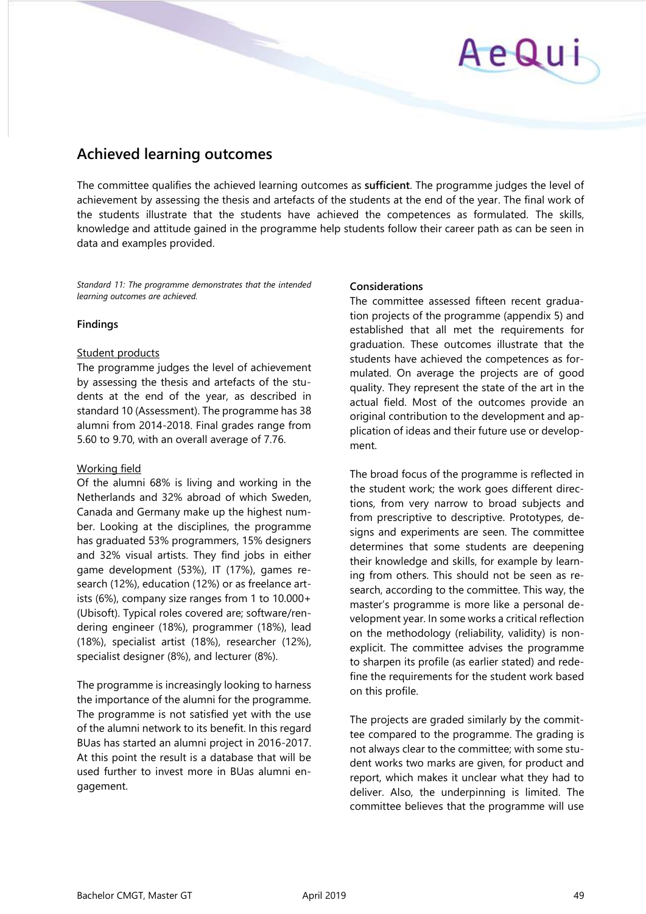# AeQui

# <span id="page-48-0"></span>**Achieved learning outcomes**

The committee qualifies the achieved learning outcomes as **sufficient**. The programme judges the level of achievement by assessing the thesis and artefacts of the students at the end of the year. The final work of the students illustrate that the students have achieved the competences as formulated. The skills, knowledge and attitude gained in the programme help students follow their career path as can be seen in data and examples provided.

*Standard 11: The programme demonstrates that the intended learning outcomes are achieved.* 

#### **Findings**

#### Student products

The programme judges the level of achievement by assessing the thesis and artefacts of the students at the end of the year, as described in standard 10 (Assessment). The programme has 38 alumni from 2014-2018. Final grades range from 5.60 to 9.70, with an overall average of 7.76.

#### Working field

Of the alumni 68% is living and working in the Netherlands and 32% abroad of which Sweden, Canada and Germany make up the highest number. Looking at the disciplines, the programme has graduated 53% programmers, 15% designers and 32% visual artists. They find jobs in either game development (53%), IT (17%), games research (12%), education (12%) or as freelance artists (6%), company size ranges from 1 to 10.000+ (Ubisoft). Typical roles covered are; software/rendering engineer (18%), programmer (18%), lead (18%), specialist artist (18%), researcher (12%), specialist designer (8%), and lecturer (8%).

The programme is increasingly looking to harness the importance of the alumni for the programme. The programme is not satisfied yet with the use of the alumni network to its benefit. In this regard BUas has started an alumni project in 2016-2017. At this point the result is a database that will be used further to invest more in BUas alumni engagement.

#### **Considerations**

The committee assessed fifteen recent graduation projects of the programme (appendix 5) and established that all met the requirements for graduation. These outcomes illustrate that the students have achieved the competences as formulated. On average the projects are of good quality. They represent the state of the art in the actual field. Most of the outcomes provide an original contribution to the development and application of ideas and their future use or development.

The broad focus of the programme is reflected in the student work; the work goes different directions, from very narrow to broad subjects and from prescriptive to descriptive. Prototypes, designs and experiments are seen. The committee determines that some students are deepening their knowledge and skills, for example by learning from others. This should not be seen as research, according to the committee. This way, the master's programme is more like a personal development year. In some works a critical reflection on the methodology (reliability, validity) is nonexplicit. The committee advises the programme to sharpen its profile (as earlier stated) and redefine the requirements for the student work based on this profile.

The projects are graded similarly by the committee compared to the programme. The grading is not always clear to the committee; with some student works two marks are given, for product and report, which makes it unclear what they had to deliver. Also, the underpinning is limited. The committee believes that the programme will use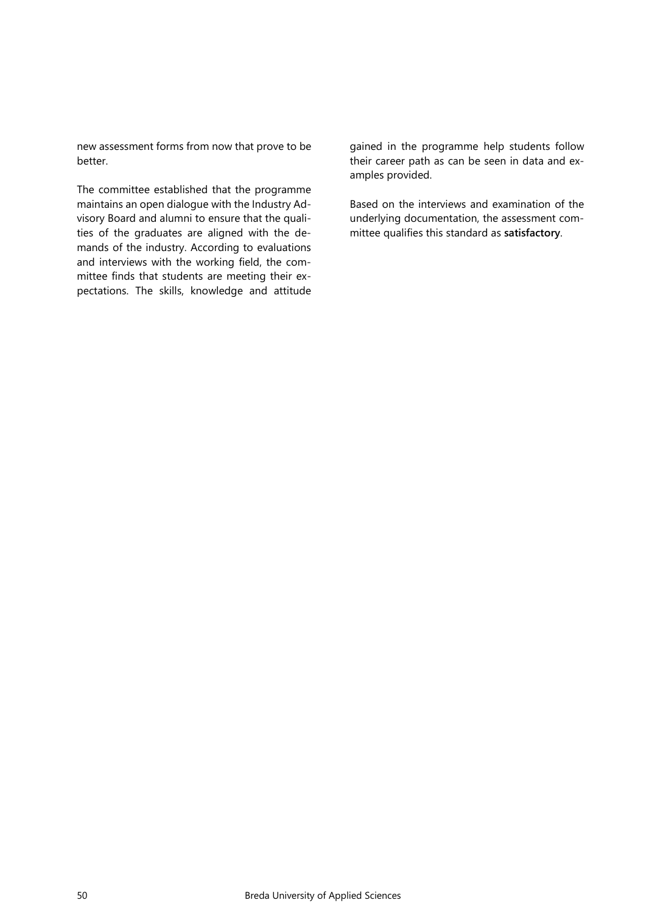new assessment forms from now that prove to be better.

The committee established that the programme maintains an open dialogue with the Industry Advisory Board and alumni to ensure that the qualities of the graduates are aligned with the demands of the industry. According to evaluations and interviews with the working field, the committee finds that students are meeting their expectations. The skills, knowledge and attitude

gained in the programme help students follow their career path as can be seen in data and examples provided.

Based on the interviews and examination of the underlying documentation, the assessment committee qualifies this standard as **satisfactory**.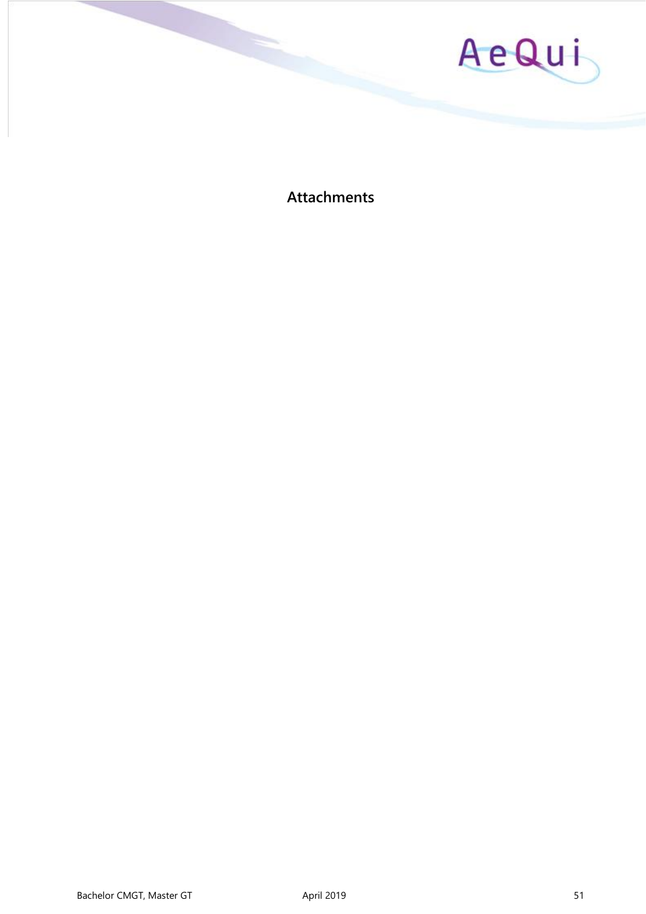

<span id="page-50-0"></span>**Attachments**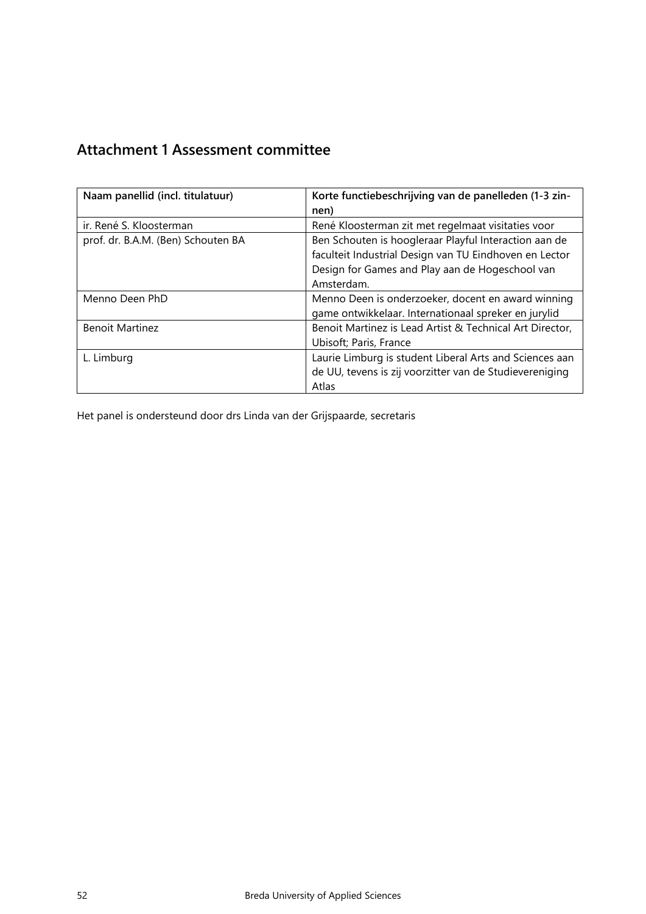# <span id="page-51-0"></span>**Attachment 1 Assessment committee**

| Naam panellid (incl. titulatuur)   | Korte functiebeschrijving van de panelleden (1-3 zin-<br>nen)                                                                                                                    |
|------------------------------------|----------------------------------------------------------------------------------------------------------------------------------------------------------------------------------|
| ir. René S. Kloosterman            | René Kloosterman zit met regelmaat visitaties voor                                                                                                                               |
| prof. dr. B.A.M. (Ben) Schouten BA | Ben Schouten is hoogleraar Playful Interaction aan de<br>faculteit Industrial Design van TU Eindhoven en Lector<br>Design for Games and Play aan de Hogeschool van<br>Amsterdam. |
| Menno Deen PhD                     | Menno Deen is onderzoeker, docent en award winning<br>game ontwikkelaar. Internationaal spreker en jurylid                                                                       |
| <b>Benoit Martinez</b>             | Benoit Martinez is Lead Artist & Technical Art Director,<br>Ubisoft; Paris, France                                                                                               |
| L. Limburg                         | Laurie Limburg is student Liberal Arts and Sciences aan<br>de UU, tevens is zij voorzitter van de Studievereniging<br>Atlas                                                      |

Het panel is ondersteund door drs Linda van der Grijspaarde, secretaris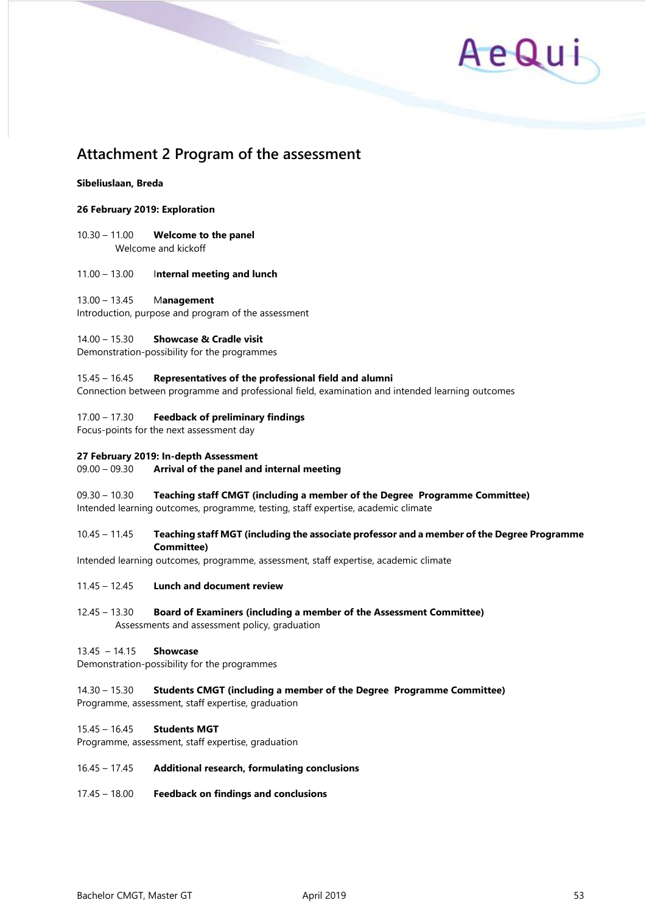

## <span id="page-52-0"></span>**Attachment 2 Program of the assessment**

#### **Sibeliuslaan, Breda**

#### **26 February 2019: Exploration**

10.30 – 11.00 **Welcome to the panel** Welcome and kickoff

#### 11.00 – 13.00 I**nternal meeting and lunch**

#### 13.00 – 13.45 M**anagement**

Introduction, purpose and program of the assessment

#### 14.00 – 15.30 **Showcase & Cradle visit**

Demonstration-possibility for the programmes

#### 15.45 – 16.45 **Representatives of the professional field and alumni**

Connection between programme and professional field, examination and intended learning outcomes

#### 17.00 – 17.30 **Feedback of preliminary findings**

Focus-points for the next assessment day

#### **27 February 2019: In-depth Assessment**

#### 09.00 – 09.30 **Arrival of the panel and internal meeting**

09.30 – 10.30 **Teaching staff CMGT (including a member of the Degree Programme Committee)** Intended learning outcomes, programme, testing, staff expertise, academic climate

#### 10.45 – 11.45 **Teaching staff MGT (including the associate professor and a member of the Degree Programme Committee)**

Intended learning outcomes, programme, assessment, staff expertise, academic climate

- 11.45 12.45 **Lunch and document review**
- 12.45 13.30 **Board of Examiners (including a member of the Assessment Committee)** Assessments and assessment policy, graduation

#### 13.45 – 14.15 **Showcase**

Demonstration-possibility for the programmes

### 14.30 – 15.30 **Students CMGT (including a member of the Degree Programme Committee)**

Programme, assessment, staff expertise, graduation

#### 15.45 – 16.45 **Students MGT**

Programme, assessment, staff expertise, graduation

#### 16.45 – 17.45 **Additional research, formulating conclusions**

17.45 – 18.00 **Feedback on findings and conclusions**